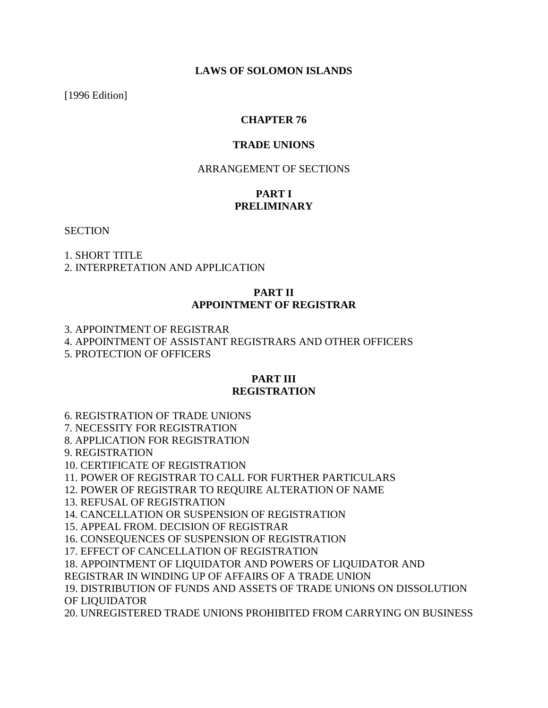### **LAWS OF SOLOMON ISLANDS**

[1996 Edition]

### **CHAPTER 76**

### **TRADE UNIONS**

### ARRANGEMENT OF SECTIONS

# **PART I PRELIMINARY**

**SECTION** 

1. SHORT TITLE

2. INTERPRETATION AND APPLICATION

### **PART II APPOINTMENT OF REGISTRAR**

3. APPOINTMENT OF REGISTRAR

4. APPOINTMENT OF ASSISTANT REGISTRARS AND OTHER OFFICERS

5. PROTECTION OF OFFICERS

#### **PART III**

#### **REGISTRATION**

6. REGISTRATION OF TRADE UNIONS

7. NECESSITY FOR REGISTRATION

8. APPLICATION FOR REGISTRATION

9. REGISTRATION

10. CERTIFICATE OF REGISTRATION

11. POWER OF REGISTRAR TO CALL FOR FURTHER PARTICULARS

12. POWER OF REGISTRAR TO REQUIRE ALTERATION OF NAME

13. REFUSAL OF REGISTRATION

14. CANCELLATION OR SUSPENSION OF REGISTRATION

15. APPEAL FROM. DECISION OF REGISTRAR

16. CONSEQUENCES OF SUSPENSION OF REGISTRATION

17. EFFECT OF CANCELLATION OF REGISTRATION

18. APPOINTMENT OF LIQUIDATOR AND POWERS OF LIQUIDATOR AND

REGISTRAR IN WINDING UP OF AFFAIRS OF A TRADE UNION

19. DISTRIBUTION OF FUNDS AND ASSETS OF TRADE UNIONS ON DISSOLUTION OF LIQUIDATOR

20. UNREGISTERED TRADE UNIONS PROHIBITED FROM CARRYING ON BUSINESS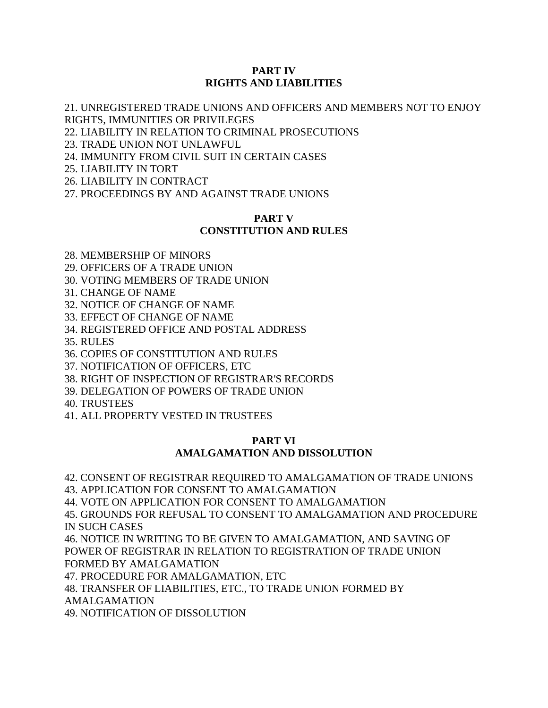### **PART IV RIGHTS AND LIABILITIES**

21. UNREGISTERED TRADE UNIONS AND OFFICERS AND MEMBERS NOT TO ENJOY RIGHTS, IMMUNITIES OR PRIVILEGES

22. LIABILITY IN RELATION TO CRIMINAL PROSECUTIONS

23. TRADE UNION NOT UNLAWFUL

24. IMMUNITY FROM CIVIL SUIT IN CERTAIN CASES

25. LIABILITY IN TORT

26. LIABILITY IN CONTRACT

27. PROCEEDINGS BY AND AGAINST TRADE UNIONS

### **PART V CONSTITUTION AND RULES**

28. MEMBERSHIP OF MINORS

29. OFFICERS OF A TRADE UNION

30. VOTING MEMBERS OF TRADE UNION

31. CHANGE OF NAME

32. NOTICE OF CHANGE OF NAME

33. EFFECT OF CHANGE OF NAME

34. REGISTERED OFFICE AND POSTAL ADDRESS

35. RULES

36. COPIES OF CONSTITUTION AND RULES

37. NOTIFICATION OF OFFICERS, ETC

38. RIGHT OF INSPECTION OF REGISTRAR'S RECORDS

39. DELEGATION OF POWERS OF TRADE UNION

40. TRUSTEES

41. ALL PROPERTY VESTED IN TRUSTEES

### **PART VI AMALGAMATION AND DISSOLUTION**

42. CONSENT OF REGISTRAR REQUIRED TO AMALGAMATION OF TRADE UNIONS 43. APPLICATION FOR CONSENT TO AMALGAMATION 44. VOTE ON APPLICATION FOR CONSENT TO AMALGAMATION 45. GROUNDS FOR REFUSAL TO CONSENT TO AMALGAMATION AND PROCEDURE IN SUCH CASES 46. NOTICE IN WRITING TO BE GIVEN TO AMALGAMATION, AND SAVING OF POWER OF REGISTRAR IN RELATION TO REGISTRATION OF TRADE UNION FORMED BY AMALGAMATION 47. PROCEDURE FOR AMALGAMATION, ETC 48. TRANSFER OF LIABILITIES, ETC., TO TRADE UNION FORMED BY AMALGAMATION

49. NOTIFICATION OF DISSOLUTION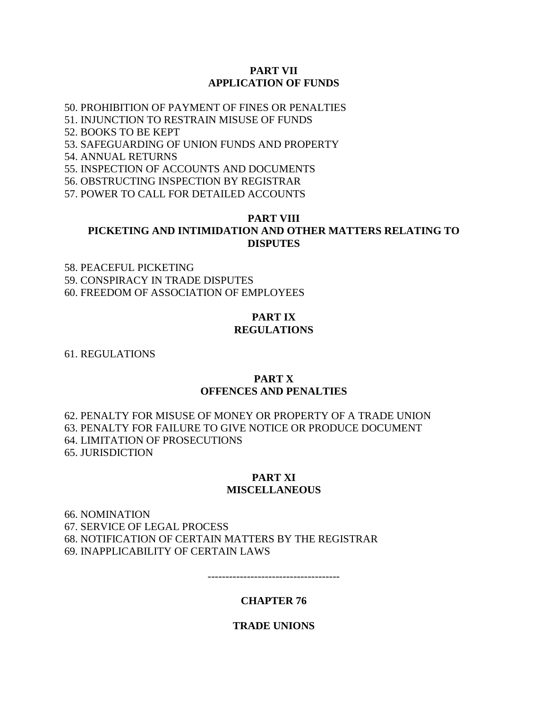#### **PART VII APPLICATION OF FUNDS**

50. PROHIBITION OF PAYMENT OF FINES OR PENALTIES

51. INJUNCTION TO RESTRAIN MISUSE OF FUNDS

52. BOOKS TO BE KEPT

53. SAFEGUARDING OF UNION FUNDS AND PROPERTY

54. ANNUAL RETURNS

55. INSPECTION OF ACCOUNTS AND DOCUMENTS

56. OBSTRUCTING INSPECTION BY REGISTRAR

57. POWER TO CALL FOR DETAILED ACCOUNTS

### **PART VIII PICKETING AND INTIMIDATION AND OTHER MATTERS RELATING TO DISPUTES**

58. PEACEFUL PICKETING 59. CONSPIRACY IN TRADE DISPUTES 60. FREEDOM OF ASSOCIATION OF EMPLOYEES

#### **PART IX**

#### **REGULATIONS**

61. REGULATIONS

#### **PART X OFFENCES AND PENALTIES**

62. PENALTY FOR MISUSE OF MONEY OR PROPERTY OF A TRADE UNION 63. PENALTY FOR FAILURE TO GIVE NOTICE OR PRODUCE DOCUMENT 64. LIMITATION OF PROSECUTIONS 65. JURISDICTION

#### **PART XI MISCELLANEOUS**

66. NOMINATION 67. SERVICE OF LEGAL PROCESS 68. NOTIFICATION OF CERTAIN MATTERS BY THE REGISTRAR 69. INAPPLICABILITY OF CERTAIN LAWS

-------------------------------------

#### **CHAPTER 76**

#### **TRADE UNIONS**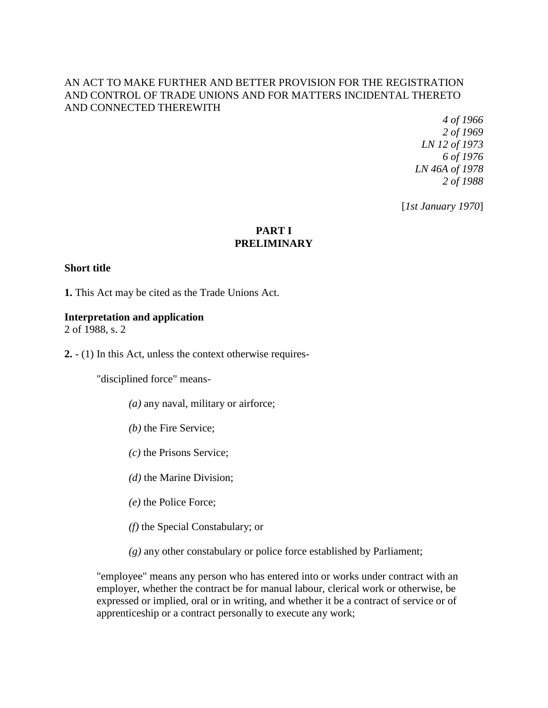### AN ACT TO MAKE FURTHER AND BETTER PROVISION FOR THE REGISTRATION AND CONTROL OF TRADE UNIONS AND FOR MATTERS INCIDENTAL THERETO AND CONNECTED THEREWITH

*4 of 1966 2 of 1969 LN 12 of 1973 6 of 1976 LN 46A of 1978 2 of 1988*

[*1st January 1970*]

# **PART I PRELIMINARY**

#### **Short title**

**1.** This Act may be cited as the Trade Unions Act.

#### **Interpretation and application**

2 of 1988, s. 2

**2.** - (1) In this Act, unless the context otherwise requires-

"disciplined force" means-

- *(a)* any naval, military or airforce;
- *(b)* the Fire Service;
- *(c)* the Prisons Service;
- *(d)* the Marine Division;
- *(e)* the Police Force;
- *(f)* the Special Constabulary; or
- *(g)* any other constabulary or police force established by Parliament;

"employee" means any person who has entered into or works under contract with an employer, whether the contract be for manual labour, clerical work or otherwise, be expressed or implied, oral or in writing, and whether it be a contract of service or of apprenticeship or a contract personally to execute any work;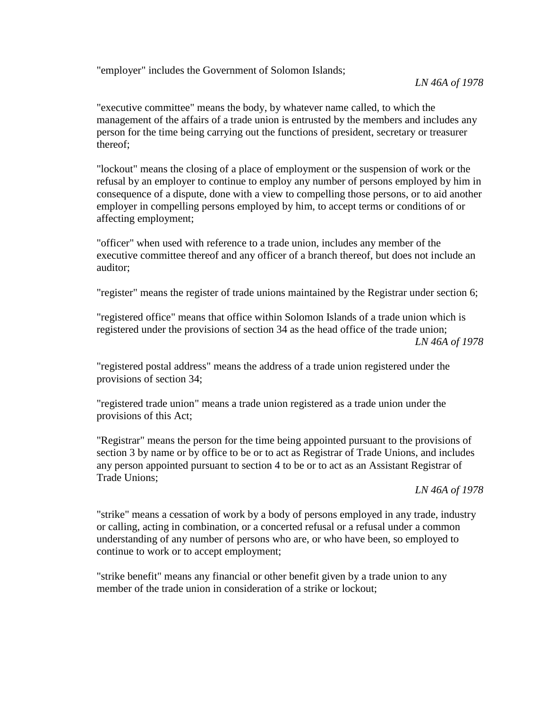"employer" includes the Government of Solomon Islands;

"executive committee" means the body, by whatever name called, to which the management of the affairs of a trade union is entrusted by the members and includes any person for the time being carrying out the functions of president, secretary or treasurer thereof;

"lockout" means the closing of a place of employment or the suspension of work or the refusal by an employer to continue to employ any number of persons employed by him in consequence of a dispute, done with a view to compelling those persons, or to aid another employer in compelling persons employed by him, to accept terms or conditions of or affecting employment;

"officer" when used with reference to a trade union, includes any member of the executive committee thereof and any officer of a branch thereof, but does not include an auditor;

"register" means the register of trade unions maintained by the Registrar under section 6;

"registered office" means that office within Solomon Islands of a trade union which is registered under the provisions of section 34 as the head office of the trade union; *LN 46A of 1978*

"registered postal address" means the address of a trade union registered under the provisions of section 34;

"registered trade union" means a trade union registered as a trade union under the provisions of this Act;

"Registrar" means the person for the time being appointed pursuant to the provisions of section 3 by name or by office to be or to act as Registrar of Trade Unions, and includes any person appointed pursuant to section 4 to be or to act as an Assistant Registrar of Trade Unions;

#### *LN 46A of 1978*

"strike" means a cessation of work by a body of persons employed in any trade, industry or calling, acting in combination, or a concerted refusal or a refusal under a common understanding of any number of persons who are, or who have been, so employed to continue to work or to accept employment;

"strike benefit" means any financial or other benefit given by a trade union to any member of the trade union in consideration of a strike or lockout;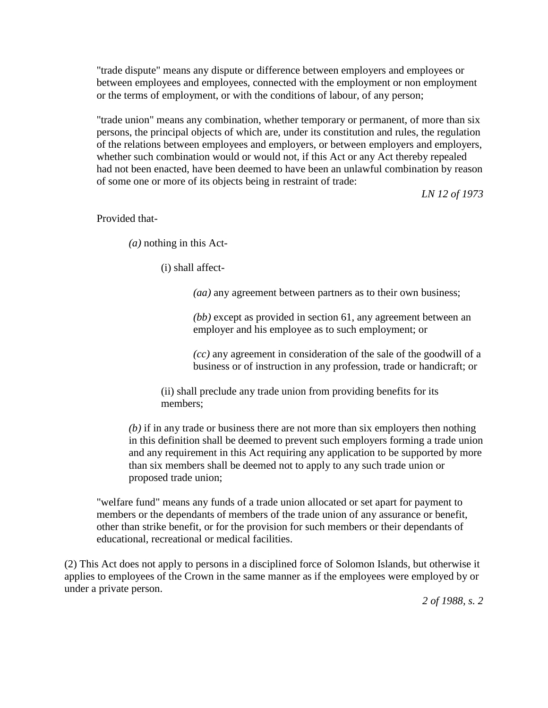"trade dispute" means any dispute or difference between employers and employees or between employees and employees, connected with the employment or non employment or the terms of employment, or with the conditions of labour, of any person;

"trade union" means any combination, whether temporary or permanent, of more than six persons, the principal objects of which are, under its constitution and rules, the regulation of the relations between employees and employers, or between employers and employers, whether such combination would or would not, if this Act or any Act thereby repealed had not been enacted, have been deemed to have been an unlawful combination by reason of some one or more of its objects being in restraint of trade:

*LN 12 of 1973*

Provided that-

*(a)* nothing in this Act-

(i) shall affect-

*(aa)* any agreement between partners as to their own business;

*(bb)* except as provided in section 61, any agreement between an employer and his employee as to such employment; or

*(cc)* any agreement in consideration of the sale of the goodwill of a business or of instruction in any profession, trade or handicraft; or

(ii) shall preclude any trade union from providing benefits for its members;

*(b)* if in any trade or business there are not more than six employers then nothing in this definition shall be deemed to prevent such employers forming a trade union and any requirement in this Act requiring any application to be supported by more than six members shall be deemed not to apply to any such trade union or proposed trade union;

"welfare fund" means any funds of a trade union allocated or set apart for payment to members or the dependants of members of the trade union of any assurance or benefit, other than strike benefit, or for the provision for such members or their dependants of educational, recreational or medical facilities.

(2) This Act does not apply to persons in a disciplined force of Solomon Islands, but otherwise it applies to employees of the Crown in the same manner as if the employees were employed by or under a private person.

*2 of 1988, s. 2*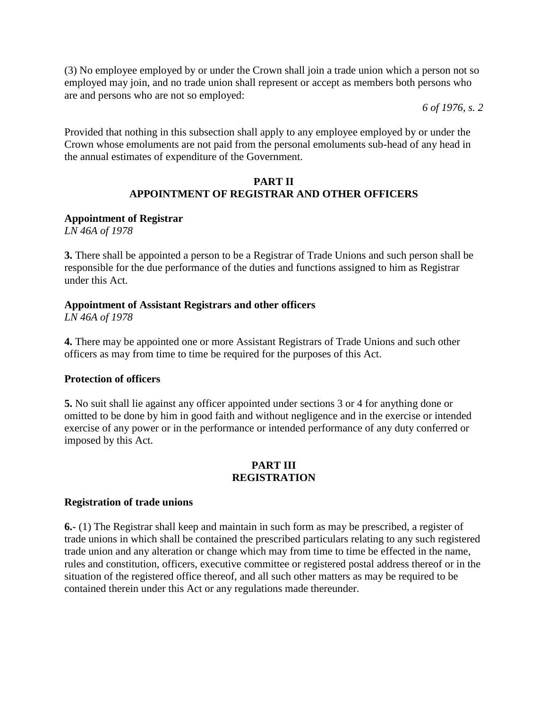(3) No employee employed by or under the Crown shall join a trade union which a person not so employed may join, and no trade union shall represent or accept as members both persons who are and persons who are not so employed:

*6 of 1976, s. 2*

Provided that nothing in this subsection shall apply to any employee employed by or under the Crown whose emoluments are not paid from the personal emoluments sub-head of any head in the annual estimates of expenditure of the Government.

### **PART II APPOINTMENT OF REGISTRAR AND OTHER OFFICERS**

### **Appointment of Registrar**

*LN 46A of 1978*

**3.** There shall be appointed a person to be a Registrar of Trade Unions and such person shall be responsible for the due performance of the duties and functions assigned to him as Registrar under this Act.

### **Appointment of Assistant Registrars and other officers**

*LN 46A of 1978*

**4.** There may be appointed one or more Assistant Registrars of Trade Unions and such other officers as may from time to time be required for the purposes of this Act.

#### **Protection of officers**

**5.** No suit shall lie against any officer appointed under sections 3 or 4 for anything done or omitted to be done by him in good faith and without negligence and in the exercise or intended exercise of any power or in the performance or intended performance of any duty conferred or imposed by this Act.

### **PART III REGISTRATION**

#### **Registration of trade unions**

**6.**- (1) The Registrar shall keep and maintain in such form as may be prescribed, a register of trade unions in which shall be contained the prescribed particulars relating to any such registered trade union and any alteration or change which may from time to time be effected in the name, rules and constitution, officers, executive committee or registered postal address thereof or in the situation of the registered office thereof, and all such other matters as may be required to be contained therein under this Act or any regulations made thereunder.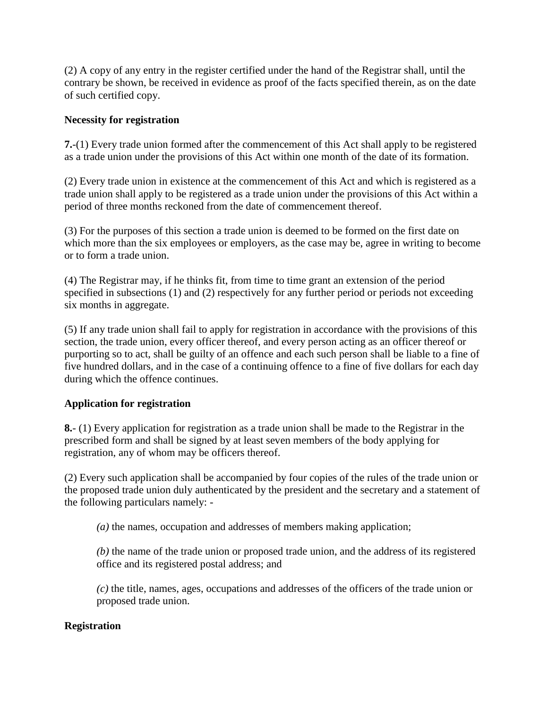(2) A copy of any entry in the register certified under the hand of the Registrar shall, until the contrary be shown, be received in evidence as proof of the facts specified therein, as on the date of such certified copy.

# **Necessity for registration**

**7.**-(1) Every trade union formed after the commencement of this Act shall apply to be registered as a trade union under the provisions of this Act within one month of the date of its formation.

(2) Every trade union in existence at the commencement of this Act and which is registered as a trade union shall apply to be registered as a trade union under the provisions of this Act within a period of three months reckoned from the date of commencement thereof.

(3) For the purposes of this section a trade union is deemed to be formed on the first date on which more than the six employees or employers, as the case may be, agree in writing to become or to form a trade union.

(4) The Registrar may, if he thinks fit, from time to time grant an extension of the period specified in subsections (1) and (2) respectively for any further period or periods not exceeding six months in aggregate.

(5) If any trade union shall fail to apply for registration in accordance with the provisions of this section, the trade union, every officer thereof, and every person acting as an officer thereof or purporting so to act, shall be guilty of an offence and each such person shall be liable to a fine of five hundred dollars, and in the case of a continuing offence to a fine of five dollars for each day during which the offence continues.

# **Application for registration**

**8.**- (1) Every application for registration as a trade union shall be made to the Registrar in the prescribed form and shall be signed by at least seven members of the body applying for registration, any of whom may be officers thereof.

(2) Every such application shall be accompanied by four copies of the rules of the trade union or the proposed trade union duly authenticated by the president and the secretary and a statement of the following particulars namely: -

*(a)* the names, occupation and addresses of members making application;

*(b)* the name of the trade union or proposed trade union, and the address of its registered office and its registered postal address; and

*(c)* the title, names, ages, occupations and addresses of the officers of the trade union or proposed trade union.

# **Registration**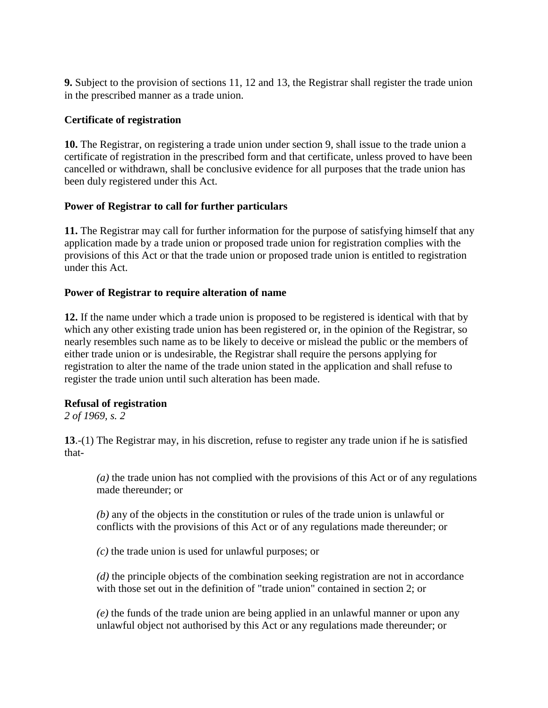**9.** Subject to the provision of sections 11, 12 and 13, the Registrar shall register the trade union in the prescribed manner as a trade union.

### **Certificate of registration**

**10.** The Registrar, on registering a trade union under section 9, shall issue to the trade union a certificate of registration in the prescribed form and that certificate, unless proved to have been cancelled or withdrawn, shall be conclusive evidence for all purposes that the trade union has been duly registered under this Act.

# **Power of Registrar to call for further particulars**

**11.** The Registrar may call for further information for the purpose of satisfying himself that any application made by a trade union or proposed trade union for registration complies with the provisions of this Act or that the trade union or proposed trade union is entitled to registration under this Act.

### **Power of Registrar to require alteration of name**

**12.** If the name under which a trade union is proposed to be registered is identical with that by which any other existing trade union has been registered or, in the opinion of the Registrar, so nearly resembles such name as to be likely to deceive or mislead the public or the members of either trade union or is undesirable, the Registrar shall require the persons applying for registration to alter the name of the trade union stated in the application and shall refuse to register the trade union until such alteration has been made.

# **Refusal of registration**

*2 of 1969, s. 2*

**13**.-(1) The Registrar may, in his discretion, refuse to register any trade union if he is satisfied that-

*(a)* the trade union has not complied with the provisions of this Act or of any regulations made thereunder; or

*(b)* any of the objects in the constitution or rules of the trade union is unlawful or conflicts with the provisions of this Act or of any regulations made thereunder; or

*(c)* the trade union is used for unlawful purposes; or

*(d)* the principle objects of the combination seeking registration are not in accordance with those set out in the definition of "trade union" contained in section 2; or

*(e)* the funds of the trade union are being applied in an unlawful manner or upon any unlawful object not authorised by this Act or any regulations made thereunder; or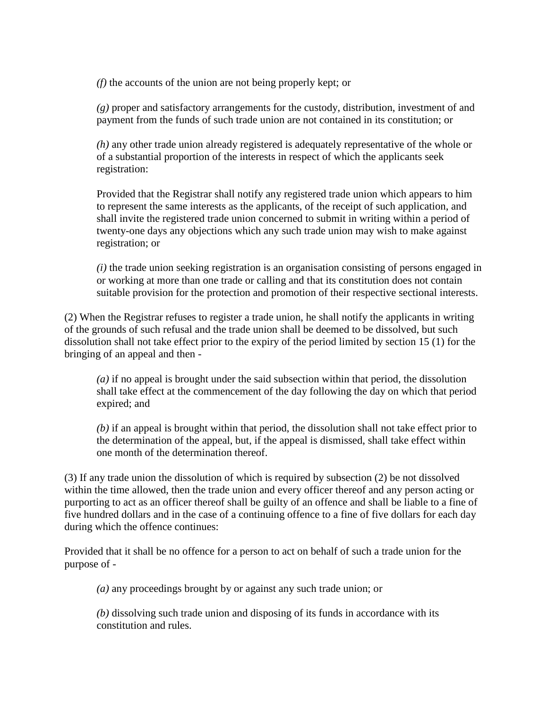*(f)* the accounts of the union are not being properly kept; or

*(g)* proper and satisfactory arrangements for the custody, distribution, investment of and payment from the funds of such trade union are not contained in its constitution; or

*(h)* any other trade union already registered is adequately representative of the whole or of a substantial proportion of the interests in respect of which the applicants seek registration:

Provided that the Registrar shall notify any registered trade union which appears to him to represent the same interests as the applicants, of the receipt of such application, and shall invite the registered trade union concerned to submit in writing within a period of twenty-one days any objections which any such trade union may wish to make against registration; or

*(i)* the trade union seeking registration is an organisation consisting of persons engaged in or working at more than one trade or calling and that its constitution does not contain suitable provision for the protection and promotion of their respective sectional interests.

(2) When the Registrar refuses to register a trade union, he shall notify the applicants in writing of the grounds of such refusal and the trade union shall be deemed to be dissolved, but such dissolution shall not take effect prior to the expiry of the period limited by section 15 (1) for the bringing of an appeal and then -

*(a)* if no appeal is brought under the said subsection within that period, the dissolution shall take effect at the commencement of the day following the day on which that period expired; and

*(b)* if an appeal is brought within that period, the dissolution shall not take effect prior to the determination of the appeal, but, if the appeal is dismissed, shall take effect within one month of the determination thereof.

(3) If any trade union the dissolution of which is required by subsection (2) be not dissolved within the time allowed, then the trade union and every officer thereof and any person acting or purporting to act as an officer thereof shall be guilty of an offence and shall be liable to a fine of five hundred dollars and in the case of a continuing offence to a fine of five dollars for each day during which the offence continues:

Provided that it shall be no offence for a person to act on behalf of such a trade union for the purpose of -

*(a)* any proceedings brought by or against any such trade union; or

*(b)* dissolving such trade union and disposing of its funds in accordance with its constitution and rules.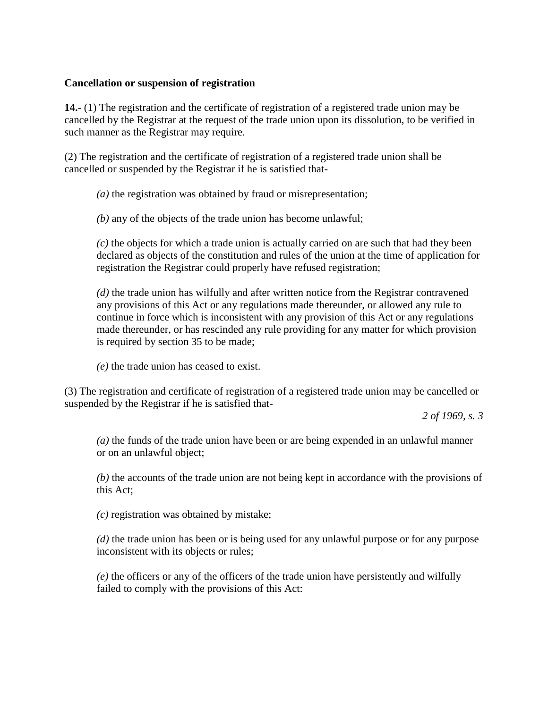### **Cancellation or suspension of registration**

**14.**- (1) The registration and the certificate of registration of a registered trade union may be cancelled by the Registrar at the request of the trade union upon its dissolution, to be verified in such manner as the Registrar may require.

(2) The registration and the certificate of registration of a registered trade union shall be cancelled or suspended by the Registrar if he is satisfied that-

*(a)* the registration was obtained by fraud or misrepresentation;

*(b)* any of the objects of the trade union has become unlawful;

*(c)* the objects for which a trade union is actually carried on are such that had they been declared as objects of the constitution and rules of the union at the time of application for registration the Registrar could properly have refused registration;

*(d)* the trade union has wilfully and after written notice from the Registrar contravened any provisions of this Act or any regulations made thereunder, or allowed any rule to continue in force which is inconsistent with any provision of this Act or any regulations made thereunder, or has rescinded any rule providing for any matter for which provision is required by section 35 to be made;

*(e)* the trade union has ceased to exist.

(3) The registration and certificate of registration of a registered trade union may be cancelled or suspended by the Registrar if he is satisfied that-

*2 of 1969, s. 3*

*(a)* the funds of the trade union have been or are being expended in an unlawful manner or on an unlawful object;

*(b)* the accounts of the trade union are not being kept in accordance with the provisions of this Act;

*(c)* registration was obtained by mistake;

*(d)* the trade union has been or is being used for any unlawful purpose or for any purpose inconsistent with its objects or rules;

*(e)* the officers or any of the officers of the trade union have persistently and wilfully failed to comply with the provisions of this Act: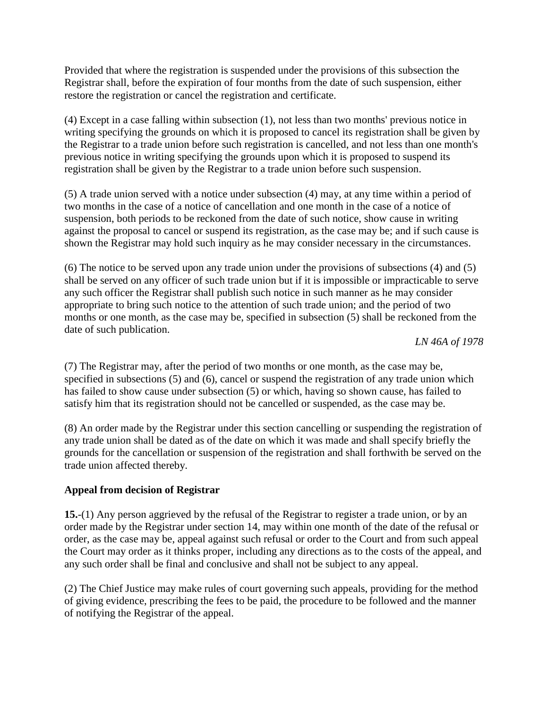Provided that where the registration is suspended under the provisions of this subsection the Registrar shall, before the expiration of four months from the date of such suspension, either restore the registration or cancel the registration and certificate.

(4) Except in a case falling within subsection (1), not less than two months' previous notice in writing specifying the grounds on which it is proposed to cancel its registration shall be given by the Registrar to a trade union before such registration is cancelled, and not less than one month's previous notice in writing specifying the grounds upon which it is proposed to suspend its registration shall be given by the Registrar to a trade union before such suspension.

(5) A trade union served with a notice under subsection (4) may, at any time within a period of two months in the case of a notice of cancellation and one month in the case of a notice of suspension, both periods to be reckoned from the date of such notice, show cause in writing against the proposal to cancel or suspend its registration, as the case may be; and if such cause is shown the Registrar may hold such inquiry as he may consider necessary in the circumstances.

(6) The notice to be served upon any trade union under the provisions of subsections (4) and (5) shall be served on any officer of such trade union but if it is impossible or impracticable to serve any such officer the Registrar shall publish such notice in such manner as he may consider appropriate to bring such notice to the attention of such trade union; and the period of two months or one month, as the case may be, specified in subsection (5) shall be reckoned from the date of such publication.

*LN 46A of 1978*

(7) The Registrar may, after the period of two months or one month, as the case may be, specified in subsections (5) and (6), cancel or suspend the registration of any trade union which has failed to show cause under subsection (5) or which, having so shown cause, has failed to satisfy him that its registration should not be cancelled or suspended, as the case may be.

(8) An order made by the Registrar under this section cancelling or suspending the registration of any trade union shall be dated as of the date on which it was made and shall specify briefly the grounds for the cancellation or suspension of the registration and shall forthwith be served on the trade union affected thereby.

# **Appeal from decision of Registrar**

**15.**-(1) Any person aggrieved by the refusal of the Registrar to register a trade union, or by an order made by the Registrar under section 14, may within one month of the date of the refusal or order, as the case may be, appeal against such refusal or order to the Court and from such appeal the Court may order as it thinks proper, including any directions as to the costs of the appeal, and any such order shall be final and conclusive and shall not be subject to any appeal.

(2) The Chief Justice may make rules of court governing such appeals, providing for the method of giving evidence, prescribing the fees to be paid, the procedure to be followed and the manner of notifying the Registrar of the appeal.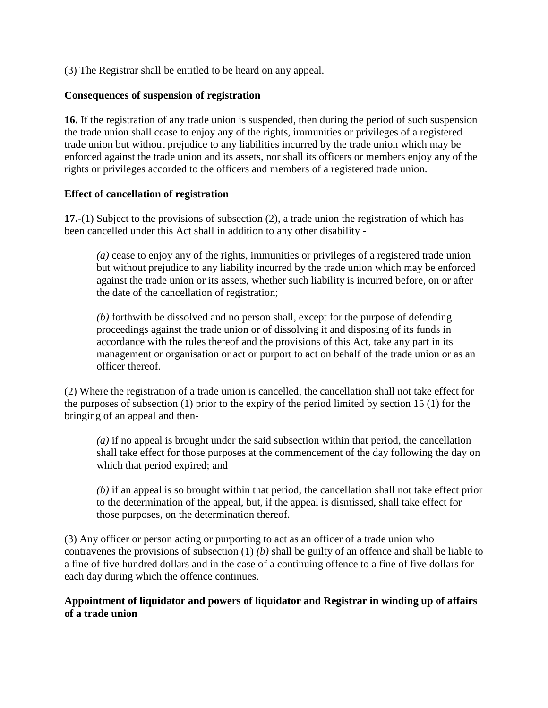(3) The Registrar shall be entitled to be heard on any appeal.

### **Consequences of suspension of registration**

**16.** If the registration of any trade union is suspended, then during the period of such suspension the trade union shall cease to enjoy any of the rights, immunities or privileges of a registered trade union but without prejudice to any liabilities incurred by the trade union which may be enforced against the trade union and its assets, nor shall its officers or members enjoy any of the rights or privileges accorded to the officers and members of a registered trade union.

### **Effect of cancellation of registration**

**17.**-(1) Subject to the provisions of subsection (2), a trade union the registration of which has been cancelled under this Act shall in addition to any other disability -

*(a)* cease to enjoy any of the rights, immunities or privileges of a registered trade union but without prejudice to any liability incurred by the trade union which may be enforced against the trade union or its assets, whether such liability is incurred before, on or after the date of the cancellation of registration;

*(b)* forthwith be dissolved and no person shall, except for the purpose of defending proceedings against the trade union or of dissolving it and disposing of its funds in accordance with the rules thereof and the provisions of this Act, take any part in its management or organisation or act or purport to act on behalf of the trade union or as an officer thereof.

(2) Where the registration of a trade union is cancelled, the cancellation shall not take effect for the purposes of subsection (1) prior to the expiry of the period limited by section 15 (1) for the bringing of an appeal and then-

*(a)* if no appeal is brought under the said subsection within that period, the cancellation shall take effect for those purposes at the commencement of the day following the day on which that period expired; and

*(b)* if an appeal is so brought within that period, the cancellation shall not take effect prior to the determination of the appeal, but, if the appeal is dismissed, shall take effect for those purposes, on the determination thereof.

(3) Any officer or person acting or purporting to act as an officer of a trade union who contravenes the provisions of subsection (1) *(b)* shall be guilty of an offence and shall be liable to a fine of five hundred dollars and in the case of a continuing offence to a fine of five dollars for each day during which the offence continues.

### **Appointment of liquidator and powers of liquidator and Registrar in winding up of affairs of a trade union**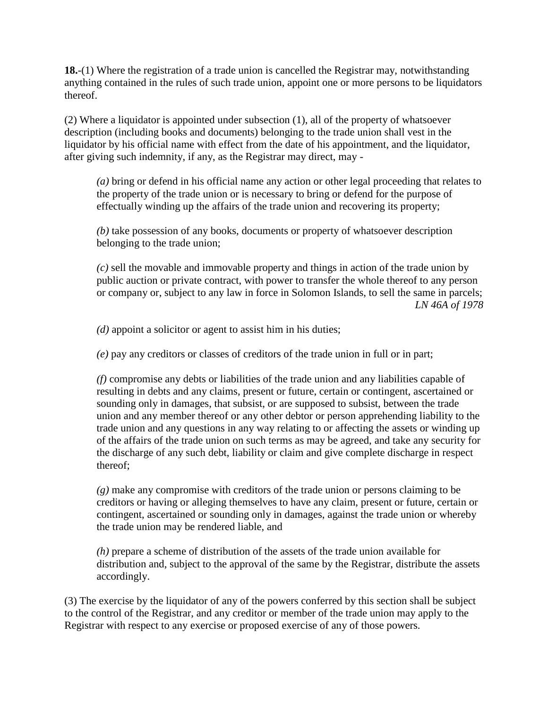**18.**-(1) Where the registration of a trade union is cancelled the Registrar may, notwithstanding anything contained in the rules of such trade union, appoint one or more persons to be liquidators thereof.

(2) Where a liquidator is appointed under subsection (1), all of the property of whatsoever description (including books and documents) belonging to the trade union shall vest in the liquidator by his official name with effect from the date of his appointment, and the liquidator, after giving such indemnity, if any, as the Registrar may direct, may -

*(a)* bring or defend in his official name any action or other legal proceeding that relates to the property of the trade union or is necessary to bring or defend for the purpose of effectually winding up the affairs of the trade union and recovering its property;

*(b)* take possession of any books, documents or property of whatsoever description belonging to the trade union;

*(c)* sell the movable and immovable property and things in action of the trade union by public auction or private contract, with power to transfer the whole thereof to any person or company or, subject to any law in force in Solomon Islands, to sell the same in parcels; *LN 46A of 1978*

*(d)* appoint a solicitor or agent to assist him in his duties;

*(e)* pay any creditors or classes of creditors of the trade union in full or in part;

*(f)* compromise any debts or liabilities of the trade union and any liabilities capable of resulting in debts and any claims, present or future, certain or contingent, ascertained or sounding only in damages, that subsist, or are supposed to subsist, between the trade union and any member thereof or any other debtor or person apprehending liability to the trade union and any questions in any way relating to or affecting the assets or winding up of the affairs of the trade union on such terms as may be agreed, and take any security for the discharge of any such debt, liability or claim and give complete discharge in respect thereof;

*(g)* make any compromise with creditors of the trade union or persons claiming to be creditors or having or alleging themselves to have any claim, present or future, certain or contingent, ascertained or sounding only in damages, against the trade union or whereby the trade union may be rendered liable, and

*(h)* prepare a scheme of distribution of the assets of the trade union available for distribution and, subject to the approval of the same by the Registrar, distribute the assets accordingly.

(3) The exercise by the liquidator of any of the powers conferred by this section shall be subject to the control of the Registrar, and any creditor or member of the trade union may apply to the Registrar with respect to any exercise or proposed exercise of any of those powers.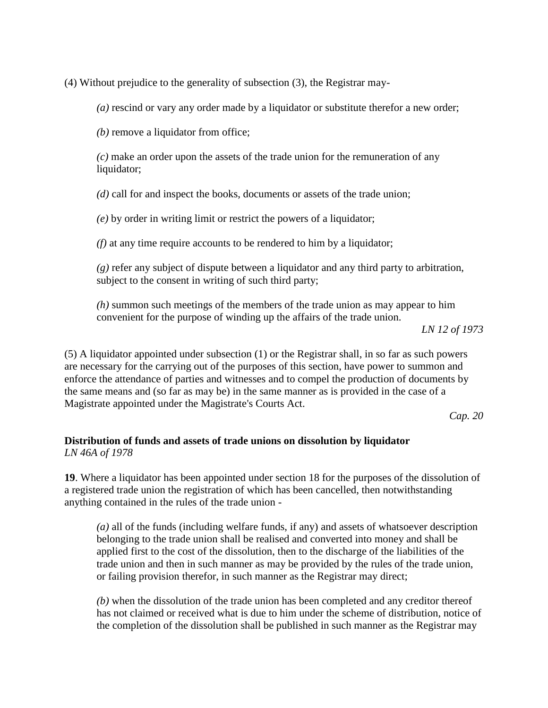(4) Without prejudice to the generality of subsection (3), the Registrar may-

*(a)* rescind or vary any order made by a liquidator or substitute therefor a new order;

*(b)* remove a liquidator from office;

*(c)* make an order upon the assets of the trade union for the remuneration of any liquidator;

*(d)* call for and inspect the books, documents or assets of the trade union;

*(e)* by order in writing limit or restrict the powers of a liquidator;

*(f)* at any time require accounts to be rendered to him by a liquidator;

*(g)* refer any subject of dispute between a liquidator and any third party to arbitration, subject to the consent in writing of such third party;

*(h)* summon such meetings of the members of the trade union as may appear to him convenient for the purpose of winding up the affairs of the trade union.

*LN 12 of 1973*

(5) A liquidator appointed under subsection (1) or the Registrar shall, in so far as such powers are necessary for the carrying out of the purposes of this section, have power to summon and enforce the attendance of parties and witnesses and to compel the production of documents by the same means and (so far as may be) in the same manner as is provided in the case of a Magistrate appointed under the Magistrate's Courts Act.

*Cap. 20*

# **Distribution of funds and assets of trade unions on dissolution by liquidator** *LN 46A of 1978*

**19**. Where a liquidator has been appointed under section 18 for the purposes of the dissolution of a registered trade union the registration of which has been cancelled, then notwithstanding anything contained in the rules of the trade union -

*(a)* all of the funds (including welfare funds, if any) and assets of whatsoever description belonging to the trade union shall be realised and converted into money and shall be applied first to the cost of the dissolution, then to the discharge of the liabilities of the trade union and then in such manner as may be provided by the rules of the trade union, or failing provision therefor, in such manner as the Registrar may direct;

*(b)* when the dissolution of the trade union has been completed and any creditor thereof has not claimed or received what is due to him under the scheme of distribution, notice of the completion of the dissolution shall be published in such manner as the Registrar may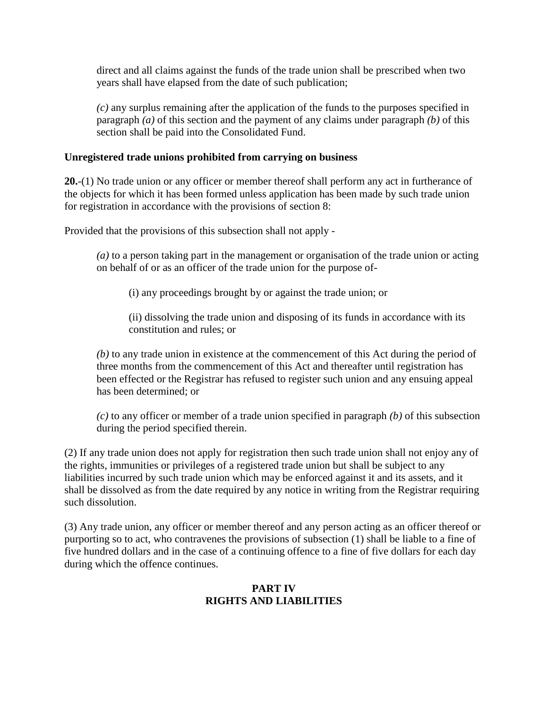direct and all claims against the funds of the trade union shall be prescribed when two years shall have elapsed from the date of such publication;

*(c)* any surplus remaining after the application of the funds to the purposes specified in paragraph *(a)* of this section and the payment of any claims under paragraph *(b)* of this section shall be paid into the Consolidated Fund.

### **Unregistered trade unions prohibited from carrying on business**

**20.**-(1) No trade union or any officer or member thereof shall perform any act in furtherance of the objects for which it has been formed unless application has been made by such trade union for registration in accordance with the provisions of section 8:

Provided that the provisions of this subsection shall not apply -

*(a)* to a person taking part in the management or organisation of the trade union or acting on behalf of or as an officer of the trade union for the purpose of-

(i) any proceedings brought by or against the trade union; or

(ii) dissolving the trade union and disposing of its funds in accordance with its constitution and rules; or

*(b)* to any trade union in existence at the commencement of this Act during the period of three months from the commencement of this Act and thereafter until registration has been effected or the Registrar has refused to register such union and any ensuing appeal has been determined; or

*(c)* to any officer or member of a trade union specified in paragraph *(b)* of this subsection during the period specified therein.

(2) If any trade union does not apply for registration then such trade union shall not enjoy any of the rights, immunities or privileges of a registered trade union but shall be subject to any liabilities incurred by such trade union which may be enforced against it and its assets, and it shall be dissolved as from the date required by any notice in writing from the Registrar requiring such dissolution.

(3) Any trade union, any officer or member thereof and any person acting as an officer thereof or purporting so to act, who contravenes the provisions of subsection (1) shall be liable to a fine of five hundred dollars and in the case of a continuing offence to a fine of five dollars for each day during which the offence continues.

# **PART IV RIGHTS AND LIABILITIES**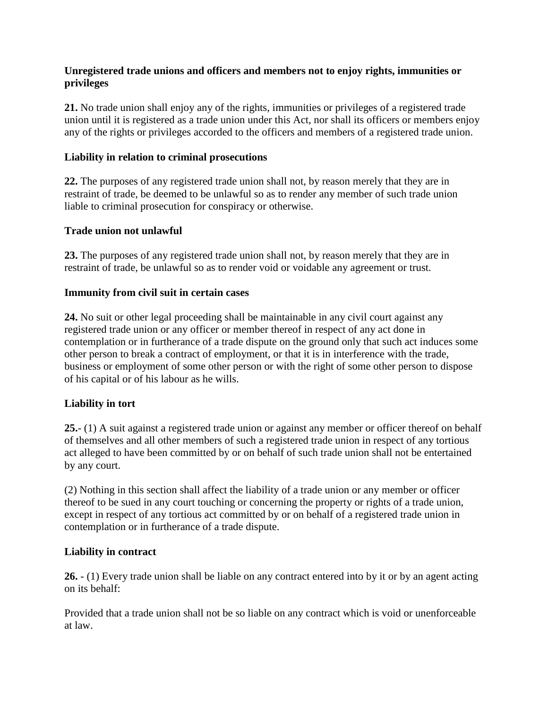### **Unregistered trade unions and officers and members not to enjoy rights, immunities or privileges**

**21.** No trade union shall enjoy any of the rights, immunities or privileges of a registered trade union until it is registered as a trade union under this Act, nor shall its officers or members enjoy any of the rights or privileges accorded to the officers and members of a registered trade union.

### **Liability in relation to criminal prosecutions**

**22.** The purposes of any registered trade union shall not, by reason merely that they are in restraint of trade, be deemed to be unlawful so as to render any member of such trade union liable to criminal prosecution for conspiracy or otherwise.

#### **Trade union not unlawful**

**23.** The purposes of any registered trade union shall not, by reason merely that they are in restraint of trade, be unlawful so as to render void or voidable any agreement or trust.

### **Immunity from civil suit in certain cases**

**24.** No suit or other legal proceeding shall be maintainable in any civil court against any registered trade union or any officer or member thereof in respect of any act done in contemplation or in furtherance of a trade dispute on the ground only that such act induces some other person to break a contract of employment, or that it is in interference with the trade, business or employment of some other person or with the right of some other person to dispose of his capital or of his labour as he wills.

# **Liability in tort**

**25.**- (1) A suit against a registered trade union or against any member or officer thereof on behalf of themselves and all other members of such a registered trade union in respect of any tortious act alleged to have been committed by or on behalf of such trade union shall not be entertained by any court.

(2) Nothing in this section shall affect the liability of a trade union or any member or officer thereof to be sued in any court touching or concerning the property or rights of a trade union, except in respect of any tortious act committed by or on behalf of a registered trade union in contemplation or in furtherance of a trade dispute.

#### **Liability in contract**

**26.** - (1) Every trade union shall be liable on any contract entered into by it or by an agent acting on its behalf:

Provided that a trade union shall not be so liable on any contract which is void or unenforceable at law.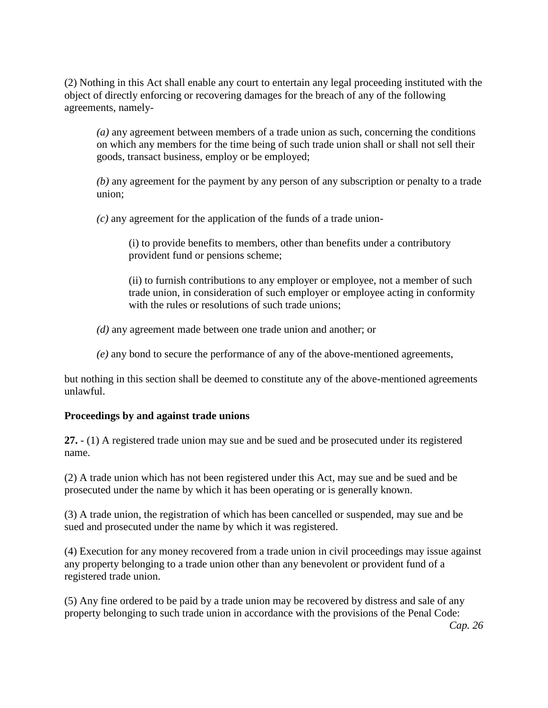(2) Nothing in this Act shall enable any court to entertain any legal proceeding instituted with the object of directly enforcing or recovering damages for the breach of any of the following agreements, namely-

*(a)* any agreement between members of a trade union as such, concerning the conditions on which any members for the time being of such trade union shall or shall not sell their goods, transact business, employ or be employed;

*(b)* any agreement for the payment by any person of any subscription or penalty to a trade union;

*(c)* any agreement for the application of the funds of a trade union-

(i) to provide benefits to members, other than benefits under a contributory provident fund or pensions scheme;

(ii) to furnish contributions to any employer or employee, not a member of such trade union, in consideration of such employer or employee acting in conformity with the rules or resolutions of such trade unions:

- *(d)* any agreement made between one trade union and another; or
- *(e)* any bond to secure the performance of any of the above-mentioned agreements,

but nothing in this section shall be deemed to constitute any of the above-mentioned agreements unlawful.

#### **Proceedings by and against trade unions**

**27.** - (1) A registered trade union may sue and be sued and be prosecuted under its registered name.

(2) A trade union which has not been registered under this Act, may sue and be sued and be prosecuted under the name by which it has been operating or is generally known.

(3) A trade union, the registration of which has been cancelled or suspended, may sue and be sued and prosecuted under the name by which it was registered.

(4) Execution for any money recovered from a trade union in civil proceedings may issue against any property belonging to a trade union other than any benevolent or provident fund of a registered trade union.

(5) Any fine ordered to be paid by a trade union may be recovered by distress and sale of any property belonging to such trade union in accordance with the provisions of the Penal Code: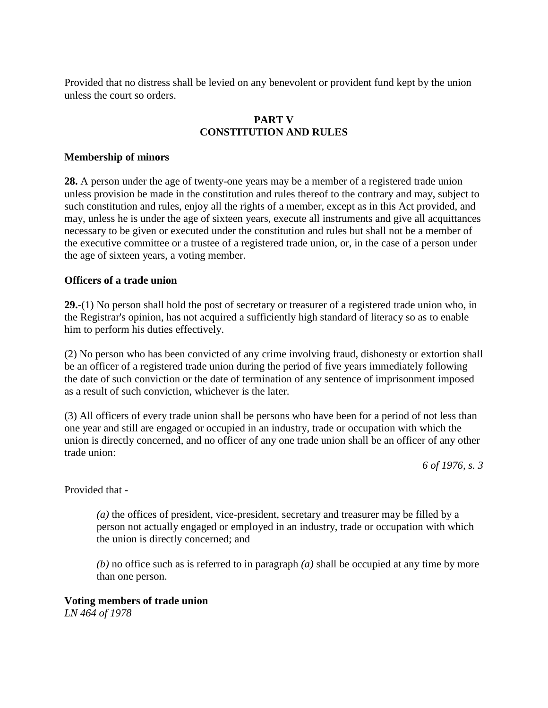Provided that no distress shall be levied on any benevolent or provident fund kept by the union unless the court so orders.

# **PART V CONSTITUTION AND RULES**

### **Membership of minors**

**28.** A person under the age of twenty-one years may be a member of a registered trade union unless provision be made in the constitution and rules thereof to the contrary and may, subject to such constitution and rules, enjoy all the rights of a member, except as in this Act provided, and may, unless he is under the age of sixteen years, execute all instruments and give all acquittances necessary to be given or executed under the constitution and rules but shall not be a member of the executive committee or a trustee of a registered trade union, or, in the case of a person under the age of sixteen years, a voting member.

### **Officers of a trade union**

**29.**-(1) No person shall hold the post of secretary or treasurer of a registered trade union who, in the Registrar's opinion, has not acquired a sufficiently high standard of literacy so as to enable him to perform his duties effectively.

(2) No person who has been convicted of any crime involving fraud, dishonesty or extortion shall be an officer of a registered trade union during the period of five years immediately following the date of such conviction or the date of termination of any sentence of imprisonment imposed as a result of such conviction, whichever is the later.

(3) All officers of every trade union shall be persons who have been for a period of not less than one year and still are engaged or occupied in an industry, trade or occupation with which the union is directly concerned, and no officer of any one trade union shall be an officer of any other trade union:

*6 of 1976, s. 3*

Provided that -

*(a)* the offices of president, vice-president, secretary and treasurer may be filled by a person not actually engaged or employed in an industry, trade or occupation with which the union is directly concerned; and

*(b)* no office such as is referred to in paragraph *(a)* shall be occupied at any time by more than one person.

#### **Voting members of trade union**

*LN 464 of 1978*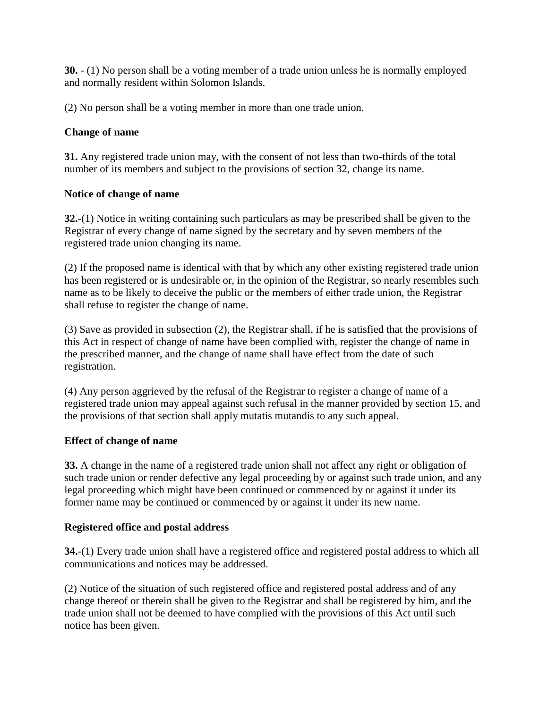**30.** - (1) No person shall be a voting member of a trade union unless he is normally employed and normally resident within Solomon Islands.

(2) No person shall be a voting member in more than one trade union.

# **Change of name**

**31.** Any registered trade union may, with the consent of not less than two-thirds of the total number of its members and subject to the provisions of section 32, change its name.

# **Notice of change of name**

**32.**-(1) Notice in writing containing such particulars as may be prescribed shall be given to the Registrar of every change of name signed by the secretary and by seven members of the registered trade union changing its name.

(2) If the proposed name is identical with that by which any other existing registered trade union has been registered or is undesirable or, in the opinion of the Registrar, so nearly resembles such name as to be likely to deceive the public or the members of either trade union, the Registrar shall refuse to register the change of name.

(3) Save as provided in subsection (2), the Registrar shall, if he is satisfied that the provisions of this Act in respect of change of name have been complied with, register the change of name in the prescribed manner, and the change of name shall have effect from the date of such registration.

(4) Any person aggrieved by the refusal of the Registrar to register a change of name of a registered trade union may appeal against such refusal in the manner provided by section 15, and the provisions of that section shall apply mutatis mutandis to any such appeal.

# **Effect of change of name**

**33.** A change in the name of a registered trade union shall not affect any right or obligation of such trade union or render defective any legal proceeding by or against such trade union, and any legal proceeding which might have been continued or commenced by or against it under its former name may be continued or commenced by or against it under its new name.

# **Registered office and postal address**

**34.**-(1) Every trade union shall have a registered office and registered postal address to which all communications and notices may be addressed.

(2) Notice of the situation of such registered office and registered postal address and of any change thereof or therein shall be given to the Registrar and shall be registered by him, and the trade union shall not be deemed to have complied with the provisions of this Act until such notice has been given.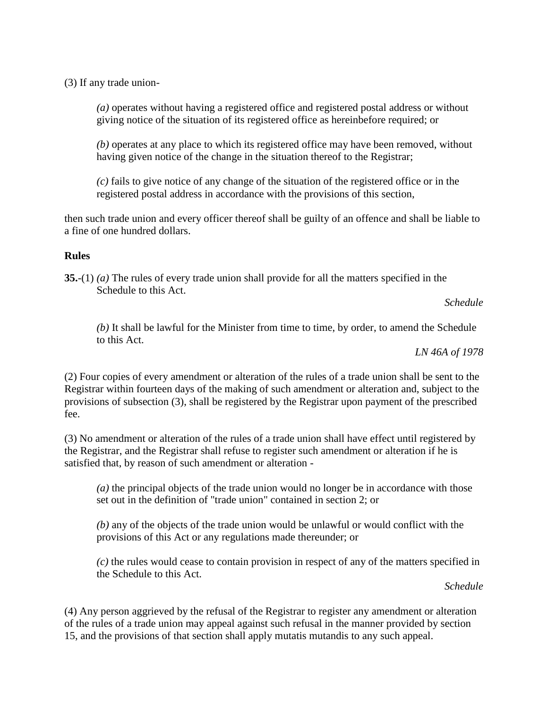(3) If any trade union-

*(a)* operates without having a registered office and registered postal address or without giving notice of the situation of its registered office as hereinbefore required; or

*(b)* operates at any place to which its registered office may have been removed, without having given notice of the change in the situation thereof to the Registrar;

*(c)* fails to give notice of any change of the situation of the registered office or in the registered postal address in accordance with the provisions of this section,

then such trade union and every officer thereof shall be guilty of an offence and shall be liable to a fine of one hundred dollars.

### **Rules**

**35.**-(1) *(a)* The rules of every trade union shall provide for all the matters specified in the Schedule to this Act.

*Schedule*

*(b)* It shall be lawful for the Minister from time to time, by order, to amend the Schedule to this Act.

*LN 46A of 1978*

(2) Four copies of every amendment or alteration of the rules of a trade union shall be sent to the Registrar within fourteen days of the making of such amendment or alteration and, subject to the provisions of subsection (3), shall be registered by the Registrar upon payment of the prescribed fee.

(3) No amendment or alteration of the rules of a trade union shall have effect until registered by the Registrar, and the Registrar shall refuse to register such amendment or alteration if he is satisfied that, by reason of such amendment or alteration -

*(a)* the principal objects of the trade union would no longer be in accordance with those set out in the definition of "trade union" contained in section 2; or

*(b)* any of the objects of the trade union would be unlawful or would conflict with the provisions of this Act or any regulations made thereunder; or

*(c)* the rules would cease to contain provision in respect of any of the matters specified in the Schedule to this Act.

*Schedule*

(4) Any person aggrieved by the refusal of the Registrar to register any amendment or alteration of the rules of a trade union may appeal against such refusal in the manner provided by section 15, and the provisions of that section shall apply mutatis mutandis to any such appeal.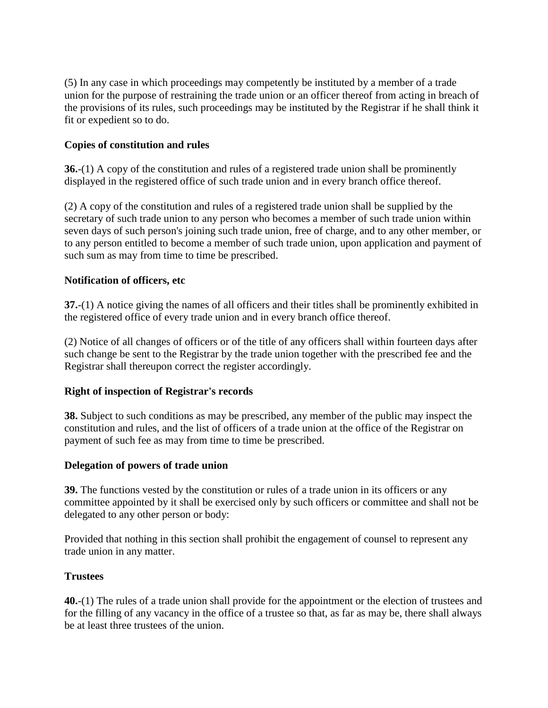(5) In any case in which proceedings may competently be instituted by a member of a trade union for the purpose of restraining the trade union or an officer thereof from acting in breach of the provisions of its rules, such proceedings may be instituted by the Registrar if he shall think it fit or expedient so to do.

# **Copies of constitution and rules**

**36.**-(1) A copy of the constitution and rules of a registered trade union shall be prominently displayed in the registered office of such trade union and in every branch office thereof.

(2) A copy of the constitution and rules of a registered trade union shall be supplied by the secretary of such trade union to any person who becomes a member of such trade union within seven days of such person's joining such trade union, free of charge, and to any other member, or to any person entitled to become a member of such trade union, upon application and payment of such sum as may from time to time be prescribed.

# **Notification of officers, etc**

**37.**-(1) A notice giving the names of all officers and their titles shall be prominently exhibited in the registered office of every trade union and in every branch office thereof.

(2) Notice of all changes of officers or of the title of any officers shall within fourteen days after such change be sent to the Registrar by the trade union together with the prescribed fee and the Registrar shall thereupon correct the register accordingly.

# **Right of inspection of Registrar's records**

**38.** Subject to such conditions as may be prescribed, any member of the public may inspect the constitution and rules, and the list of officers of a trade union at the office of the Registrar on payment of such fee as may from time to time be prescribed.

# **Delegation of powers of trade union**

**39.** The functions vested by the constitution or rules of a trade union in its officers or any committee appointed by it shall be exercised only by such officers or committee and shall not be delegated to any other person or body:

Provided that nothing in this section shall prohibit the engagement of counsel to represent any trade union in any matter.

# **Trustees**

**40.**-(1) The rules of a trade union shall provide for the appointment or the election of trustees and for the filling of any vacancy in the office of a trustee so that, as far as may be, there shall always be at least three trustees of the union.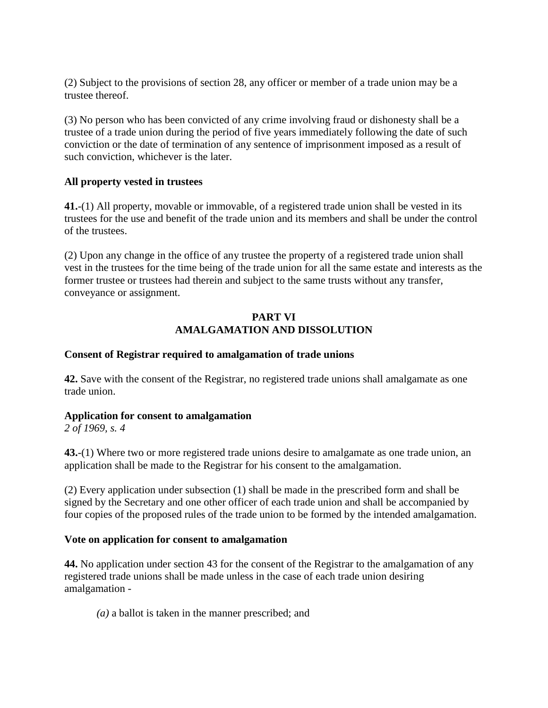(2) Subject to the provisions of section 28, any officer or member of a trade union may be a trustee thereof.

(3) No person who has been convicted of any crime involving fraud or dishonesty shall be a trustee of a trade union during the period of five years immediately following the date of such conviction or the date of termination of any sentence of imprisonment imposed as a result of such conviction, whichever is the later.

### **All property vested in trustees**

**41.**-(1) All property, movable or immovable, of a registered trade union shall be vested in its trustees for the use and benefit of the trade union and its members and shall be under the control of the trustees.

(2) Upon any change in the office of any trustee the property of a registered trade union shall vest in the trustees for the time being of the trade union for all the same estate and interests as the former trustee or trustees had therein and subject to the same trusts without any transfer, conveyance or assignment.

### **PART VI AMALGAMATION AND DISSOLUTION**

### **Consent of Registrar required to amalgamation of trade unions**

**42.** Save with the consent of the Registrar, no registered trade unions shall amalgamate as one trade union.

#### **Application for consent to amalgamation**

*2 of 1969, s. 4*

**43.**-(1) Where two or more registered trade unions desire to amalgamate as one trade union, an application shall be made to the Registrar for his consent to the amalgamation.

(2) Every application under subsection (1) shall be made in the prescribed form and shall be signed by the Secretary and one other officer of each trade union and shall be accompanied by four copies of the proposed rules of the trade union to be formed by the intended amalgamation.

#### **Vote on application for consent to amalgamation**

**44.** No application under section 43 for the consent of the Registrar to the amalgamation of any registered trade unions shall be made unless in the case of each trade union desiring amalgamation -

*(a)* a ballot is taken in the manner prescribed; and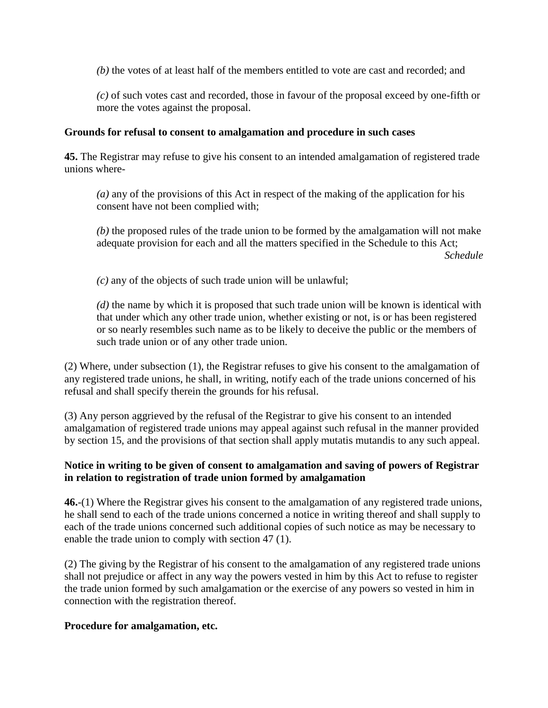*(b)* the votes of at least half of the members entitled to vote are cast and recorded; and

*(c)* of such votes cast and recorded, those in favour of the proposal exceed by one-fifth or more the votes against the proposal.

### **Grounds for refusal to consent to amalgamation and procedure in such cases**

**45.** The Registrar may refuse to give his consent to an intended amalgamation of registered trade unions where-

*(a)* any of the provisions of this Act in respect of the making of the application for his consent have not been complied with;

*(b)* the proposed rules of the trade union to be formed by the amalgamation will not make adequate provision for each and all the matters specified in the Schedule to this Act; *Schedule*

*(c)* any of the objects of such trade union will be unlawful;

*(d)* the name by which it is proposed that such trade union will be known is identical with that under which any other trade union, whether existing or not, is or has been registered or so nearly resembles such name as to be likely to deceive the public or the members of such trade union or of any other trade union.

(2) Where, under subsection (1), the Registrar refuses to give his consent to the amalgamation of any registered trade unions, he shall, in writing, notify each of the trade unions concerned of his refusal and shall specify therein the grounds for his refusal.

(3) Any person aggrieved by the refusal of the Registrar to give his consent to an intended amalgamation of registered trade unions may appeal against such refusal in the manner provided by section 15, and the provisions of that section shall apply mutatis mutandis to any such appeal.

# **Notice in writing to be given of consent to amalgamation and saving of powers of Registrar in relation to registration of trade union formed by amalgamation**

**46.**-(1) Where the Registrar gives his consent to the amalgamation of any registered trade unions, he shall send to each of the trade unions concerned a notice in writing thereof and shall supply to each of the trade unions concerned such additional copies of such notice as may be necessary to enable the trade union to comply with section 47 (1).

(2) The giving by the Registrar of his consent to the amalgamation of any registered trade unions shall not prejudice or affect in any way the powers vested in him by this Act to refuse to register the trade union formed by such amalgamation or the exercise of any powers so vested in him in connection with the registration thereof.

#### **Procedure for amalgamation, etc.**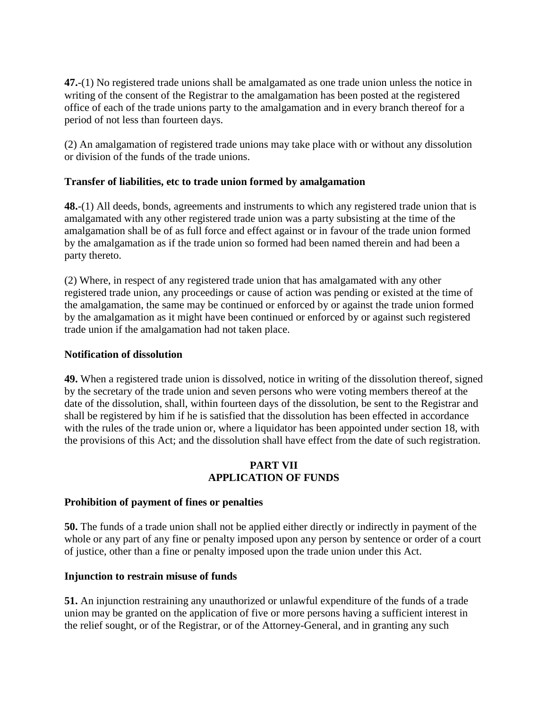**47.**-(1) No registered trade unions shall be amalgamated as one trade union unless the notice in writing of the consent of the Registrar to the amalgamation has been posted at the registered office of each of the trade unions party to the amalgamation and in every branch thereof for a period of not less than fourteen days.

(2) An amalgamation of registered trade unions may take place with or without any dissolution or division of the funds of the trade unions.

# **Transfer of liabilities, etc to trade union formed by amalgamation**

**48.**-(1) All deeds, bonds, agreements and instruments to which any registered trade union that is amalgamated with any other registered trade union was a party subsisting at the time of the amalgamation shall be of as full force and effect against or in favour of the trade union formed by the amalgamation as if the trade union so formed had been named therein and had been a party thereto.

(2) Where, in respect of any registered trade union that has amalgamated with any other registered trade union, any proceedings or cause of action was pending or existed at the time of the amalgamation, the same may be continued or enforced by or against the trade union formed by the amalgamation as it might have been continued or enforced by or against such registered trade union if the amalgamation had not taken place.

### **Notification of dissolution**

**49.** When a registered trade union is dissolved, notice in writing of the dissolution thereof, signed by the secretary of the trade union and seven persons who were voting members thereof at the date of the dissolution, shall, within fourteen days of the dissolution, be sent to the Registrar and shall be registered by him if he is satisfied that the dissolution has been effected in accordance with the rules of the trade union or, where a liquidator has been appointed under section 18, with the provisions of this Act; and the dissolution shall have effect from the date of such registration.

# **PART VII APPLICATION OF FUNDS**

# **Prohibition of payment of fines or penalties**

**50.** The funds of a trade union shall not be applied either directly or indirectly in payment of the whole or any part of any fine or penalty imposed upon any person by sentence or order of a court of justice, other than a fine or penalty imposed upon the trade union under this Act.

# **Injunction to restrain misuse of funds**

**51.** An injunction restraining any unauthorized or unlawful expenditure of the funds of a trade union may be granted on the application of five or more persons having a sufficient interest in the relief sought, or of the Registrar, or of the Attorney-General, and in granting any such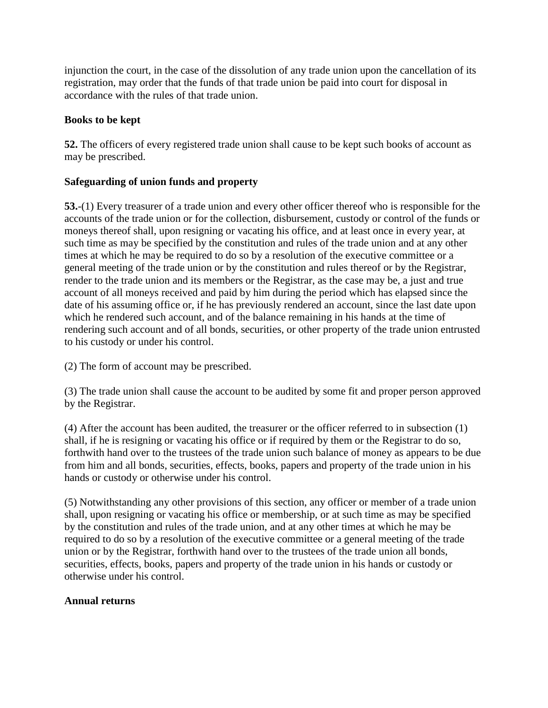injunction the court, in the case of the dissolution of any trade union upon the cancellation of its registration, may order that the funds of that trade union be paid into court for disposal in accordance with the rules of that trade union.

# **Books to be kept**

**52.** The officers of every registered trade union shall cause to be kept such books of account as may be prescribed.

# **Safeguarding of union funds and property**

**53.**-(1) Every treasurer of a trade union and every other officer thereof who is responsible for the accounts of the trade union or for the collection, disbursement, custody or control of the funds or moneys thereof shall, upon resigning or vacating his office, and at least once in every year, at such time as may be specified by the constitution and rules of the trade union and at any other times at which he may be required to do so by a resolution of the executive committee or a general meeting of the trade union or by the constitution and rules thereof or by the Registrar, render to the trade union and its members or the Registrar, as the case may be, a just and true account of all moneys received and paid by him during the period which has elapsed since the date of his assuming office or, if he has previously rendered an account, since the last date upon which he rendered such account, and of the balance remaining in his hands at the time of rendering such account and of all bonds, securities, or other property of the trade union entrusted to his custody or under his control.

(2) The form of account may be prescribed.

(3) The trade union shall cause the account to be audited by some fit and proper person approved by the Registrar.

(4) After the account has been audited, the treasurer or the officer referred to in subsection (1) shall, if he is resigning or vacating his office or if required by them or the Registrar to do so, forthwith hand over to the trustees of the trade union such balance of money as appears to be due from him and all bonds, securities, effects, books, papers and property of the trade union in his hands or custody or otherwise under his control.

(5) Notwithstanding any other provisions of this section, any officer or member of a trade union shall, upon resigning or vacating his office or membership, or at such time as may be specified by the constitution and rules of the trade union, and at any other times at which he may be required to do so by a resolution of the executive committee or a general meeting of the trade union or by the Registrar, forthwith hand over to the trustees of the trade union all bonds, securities, effects, books, papers and property of the trade union in his hands or custody or otherwise under his control.

# **Annual returns**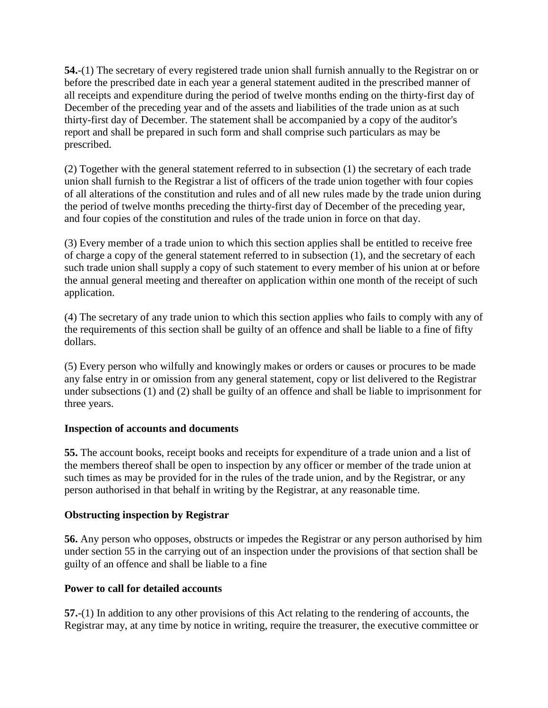**54.**-(1) The secretary of every registered trade union shall furnish annually to the Registrar on or before the prescribed date in each year a general statement audited in the prescribed manner of all receipts and expenditure during the period of twelve months ending on the thirty-first day of December of the preceding year and of the assets and liabilities of the trade union as at such thirty-first day of December. The statement shall be accompanied by a copy of the auditor's report and shall be prepared in such form and shall comprise such particulars as may be prescribed.

(2) Together with the general statement referred to in subsection (1) the secretary of each trade union shall furnish to the Registrar a list of officers of the trade union together with four copies of all alterations of the constitution and rules and of all new rules made by the trade union during the period of twelve months preceding the thirty-first day of December of the preceding year, and four copies of the constitution and rules of the trade union in force on that day.

(3) Every member of a trade union to which this section applies shall be entitled to receive free of charge a copy of the general statement referred to in subsection (1), and the secretary of each such trade union shall supply a copy of such statement to every member of his union at or before the annual general meeting and thereafter on application within one month of the receipt of such application.

(4) The secretary of any trade union to which this section applies who fails to comply with any of the requirements of this section shall be guilty of an offence and shall be liable to a fine of fifty dollars.

(5) Every person who wilfully and knowingly makes or orders or causes or procures to be made any false entry in or omission from any general statement, copy or list delivered to the Registrar under subsections (1) and (2) shall be guilty of an offence and shall be liable to imprisonment for three years.

# **Inspection of accounts and documents**

**55.** The account books, receipt books and receipts for expenditure of a trade union and a list of the members thereof shall be open to inspection by any officer or member of the trade union at such times as may be provided for in the rules of the trade union, and by the Registrar, or any person authorised in that behalf in writing by the Registrar, at any reasonable time.

# **Obstructing inspection by Registrar**

**56.** Any person who opposes, obstructs or impedes the Registrar or any person authorised by him under section 55 in the carrying out of an inspection under the provisions of that section shall be guilty of an offence and shall be liable to a fine

# **Power to call for detailed accounts**

**57.**-(1) In addition to any other provisions of this Act relating to the rendering of accounts, the Registrar may, at any time by notice in writing, require the treasurer, the executive committee or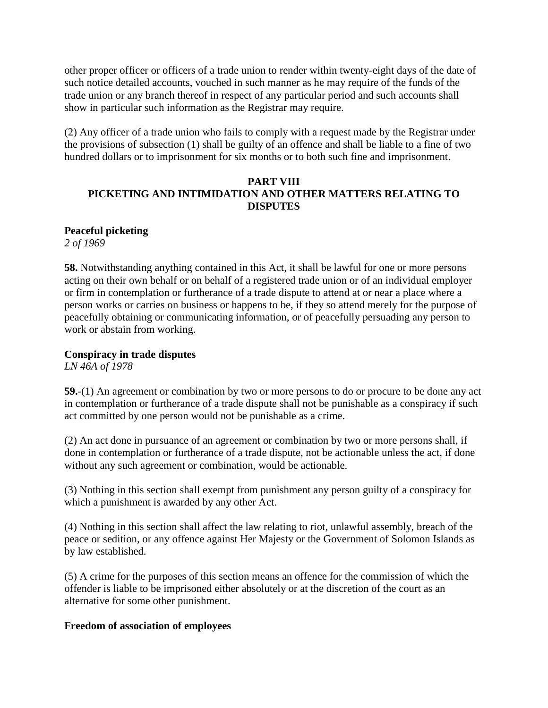other proper officer or officers of a trade union to render within twenty-eight days of the date of such notice detailed accounts, vouched in such manner as he may require of the funds of the trade union or any branch thereof in respect of any particular period and such accounts shall show in particular such information as the Registrar may require.

(2) Any officer of a trade union who fails to comply with a request made by the Registrar under the provisions of subsection (1) shall be guilty of an offence and shall be liable to a fine of two hundred dollars or to imprisonment for six months or to both such fine and imprisonment.

# **PART VIII PICKETING AND INTIMIDATION AND OTHER MATTERS RELATING TO DISPUTES**

# **Peaceful picketing**

*2 of 1969*

**58.** Notwithstanding anything contained in this Act, it shall be lawful for one or more persons acting on their own behalf or on behalf of a registered trade union or of an individual employer or firm in contemplation or furtherance of a trade dispute to attend at or near a place where a person works or carries on business or happens to be, if they so attend merely for the purpose of peacefully obtaining or communicating information, or of peacefully persuading any person to work or abstain from working.

# **Conspiracy in trade disputes**

*LN 46A of 1978*

**59.**-(1) An agreement or combination by two or more persons to do or procure to be done any act in contemplation or furtherance of a trade dispute shall not be punishable as a conspiracy if such act committed by one person would not be punishable as a crime.

(2) An act done in pursuance of an agreement or combination by two or more persons shall, if done in contemplation or furtherance of a trade dispute, not be actionable unless the act, if done without any such agreement or combination, would be actionable.

(3) Nothing in this section shall exempt from punishment any person guilty of a conspiracy for which a punishment is awarded by any other Act.

(4) Nothing in this section shall affect the law relating to riot, unlawful assembly, breach of the peace or sedition, or any offence against Her Majesty or the Government of Solomon Islands as by law established.

(5) A crime for the purposes of this section means an offence for the commission of which the offender is liable to be imprisoned either absolutely or at the discretion of the court as an alternative for some other punishment.

#### **Freedom of association of employees**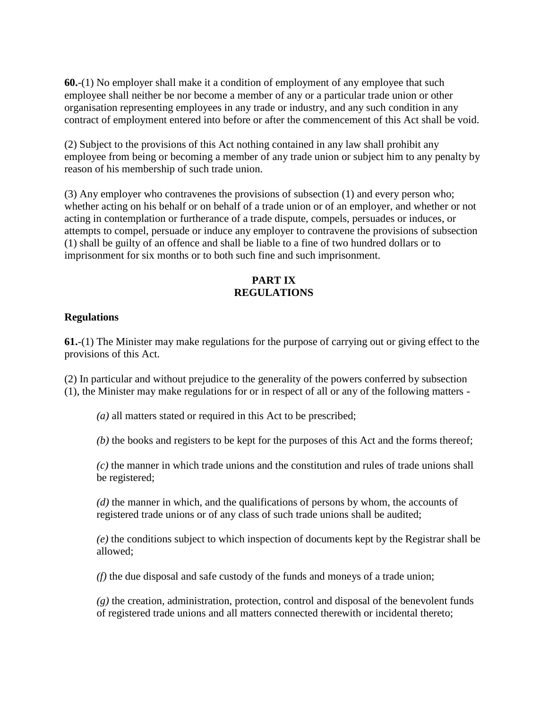**60.**-(1) No employer shall make it a condition of employment of any employee that such employee shall neither be nor become a member of any or a particular trade union or other organisation representing employees in any trade or industry, and any such condition in any contract of employment entered into before or after the commencement of this Act shall be void.

(2) Subject to the provisions of this Act nothing contained in any law shall prohibit any employee from being or becoming a member of any trade union or subject him to any penalty by reason of his membership of such trade union.

(3) Any employer who contravenes the provisions of subsection (1) and every person who; whether acting on his behalf or on behalf of a trade union or of an employer, and whether or not acting in contemplation or furtherance of a trade dispute, compels, persuades or induces, or attempts to compel, persuade or induce any employer to contravene the provisions of subsection (1) shall be guilty of an offence and shall be liable to a fine of two hundred dollars or to imprisonment for six months or to both such fine and such imprisonment.

# **PART IX REGULATIONS**

### **Regulations**

**61.**-(1) The Minister may make regulations for the purpose of carrying out or giving effect to the provisions of this Act.

(2) In particular and without prejudice to the generality of the powers conferred by subsection (1), the Minister may make regulations for or in respect of all or any of the following matters -

*(a)* all matters stated or required in this Act to be prescribed;

*(b)* the books and registers to be kept for the purposes of this Act and the forms thereof;

*(c)* the manner in which trade unions and the constitution and rules of trade unions shall be registered;

*(d)* the manner in which, and the qualifications of persons by whom, the accounts of registered trade unions or of any class of such trade unions shall be audited;

*(e)* the conditions subject to which inspection of documents kept by the Registrar shall be allowed;

*(f)* the due disposal and safe custody of the funds and moneys of a trade union;

*(g)* the creation, administration, protection, control and disposal of the benevolent funds of registered trade unions and all matters connected therewith or incidental thereto;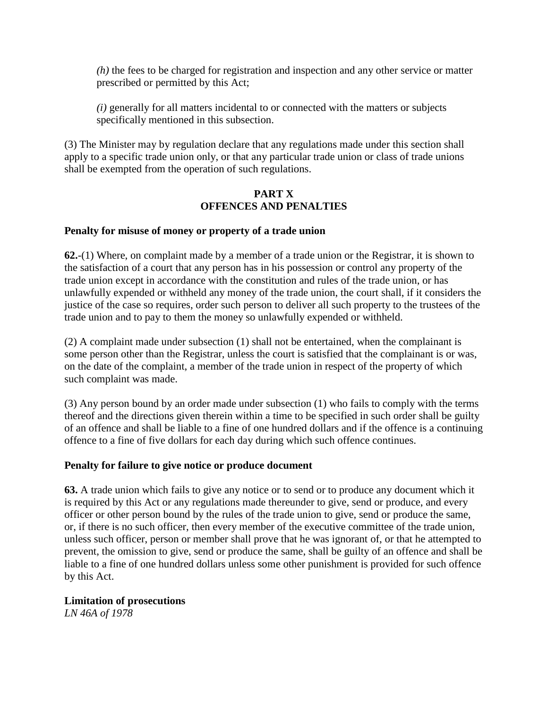*(h)* the fees to be charged for registration and inspection and any other service or matter prescribed or permitted by this Act;

*(i)* generally for all matters incidental to or connected with the matters or subjects specifically mentioned in this subsection.

(3) The Minister may by regulation declare that any regulations made under this section shall apply to a specific trade union only, or that any particular trade union or class of trade unions shall be exempted from the operation of such regulations.

#### **PART X OFFENCES AND PENALTIES**

### **Penalty for misuse of money or property of a trade union**

**62.**-(1) Where, on complaint made by a member of a trade union or the Registrar, it is shown to the satisfaction of a court that any person has in his possession or control any property of the trade union except in accordance with the constitution and rules of the trade union, or has unlawfully expended or withheld any money of the trade union, the court shall, if it considers the justice of the case so requires, order such person to deliver all such property to the trustees of the trade union and to pay to them the money so unlawfully expended or withheld.

(2) A complaint made under subsection (1) shall not be entertained, when the complainant is some person other than the Registrar, unless the court is satisfied that the complainant is or was, on the date of the complaint, a member of the trade union in respect of the property of which such complaint was made.

(3) Any person bound by an order made under subsection (1) who fails to comply with the terms thereof and the directions given therein within a time to be specified in such order shall be guilty of an offence and shall be liable to a fine of one hundred dollars and if the offence is a continuing offence to a fine of five dollars for each day during which such offence continues.

#### **Penalty for failure to give notice or produce document**

**63.** A trade union which fails to give any notice or to send or to produce any document which it is required by this Act or any regulations made thereunder to give, send or produce, and every officer or other person bound by the rules of the trade union to give, send or produce the same, or, if there is no such officer, then every member of the executive committee of the trade union, unless such officer, person or member shall prove that he was ignorant of, or that he attempted to prevent, the omission to give, send or produce the same, shall be guilty of an offence and shall be liable to a fine of one hundred dollars unless some other punishment is provided for such offence by this Act.

#### **Limitation of prosecutions**

*LN 46A of 1978*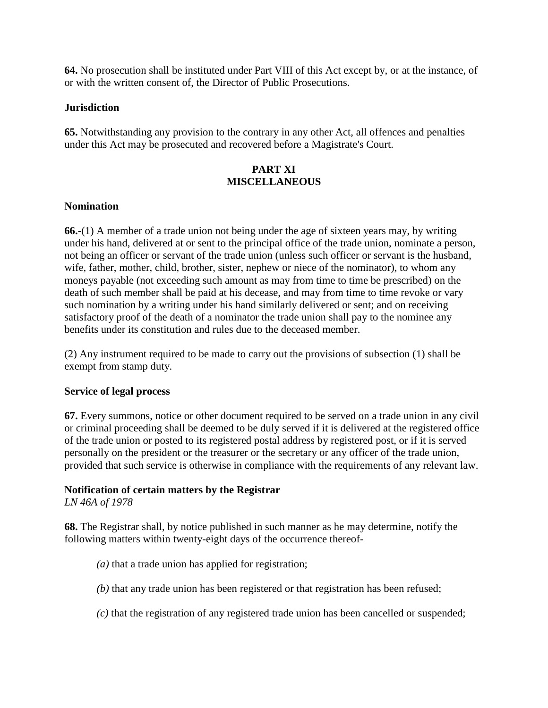**64.** No prosecution shall be instituted under Part VIII of this Act except by, or at the instance, of or with the written consent of, the Director of Public Prosecutions.

### **Jurisdiction**

**65.** Notwithstanding any provision to the contrary in any other Act, all offences and penalties under this Act may be prosecuted and recovered before a Magistrate's Court.

# **PART XI MISCELLANEOUS**

### **Nomination**

**66.**-(1) A member of a trade union not being under the age of sixteen years may, by writing under his hand, delivered at or sent to the principal office of the trade union, nominate a person, not being an officer or servant of the trade union (unless such officer or servant is the husband, wife, father, mother, child, brother, sister, nephew or niece of the nominator), to whom any moneys payable (not exceeding such amount as may from time to time be prescribed) on the death of such member shall be paid at his decease, and may from time to time revoke or vary such nomination by a writing under his hand similarly delivered or sent; and on receiving satisfactory proof of the death of a nominator the trade union shall pay to the nominee any benefits under its constitution and rules due to the deceased member.

(2) Any instrument required to be made to carry out the provisions of subsection (1) shall be exempt from stamp duty.

#### **Service of legal process**

**67.** Every summons, notice or other document required to be served on a trade union in any civil or criminal proceeding shall be deemed to be duly served if it is delivered at the registered office of the trade union or posted to its registered postal address by registered post, or if it is served personally on the president or the treasurer or the secretary or any officer of the trade union, provided that such service is otherwise in compliance with the requirements of any relevant law.

# **Notification of certain matters by the Registrar**

*LN 46A of 1978*

**68.** The Registrar shall, by notice published in such manner as he may determine, notify the following matters within twenty-eight days of the occurrence thereof-

- *(a)* that a trade union has applied for registration;
- *(b)* that any trade union has been registered or that registration has been refused;
- *(c)* that the registration of any registered trade union has been cancelled or suspended;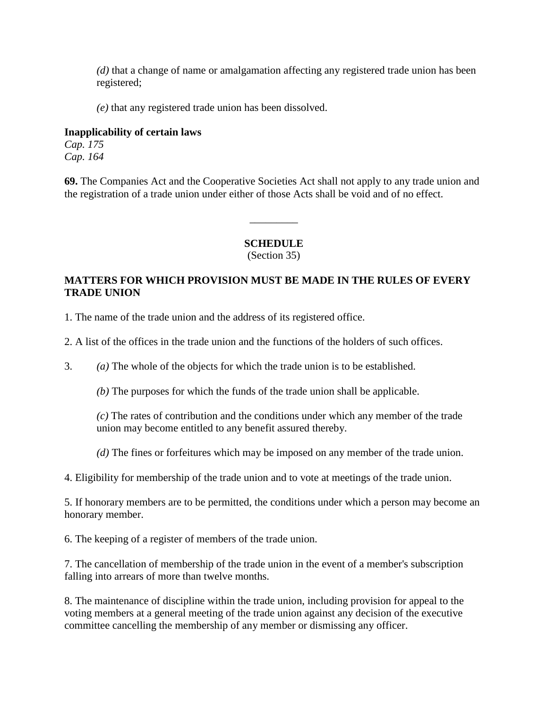*(d)* that a change of name or amalgamation affecting any registered trade union has been registered;

*(e)* that any registered trade union has been dissolved.

### **Inapplicability of certain laws**

*Cap. 175 Cap. 164*

**69.** The Companies Act and the Cooperative Societies Act shall not apply to any trade union and the registration of a trade union under either of those Acts shall be void and of no effect.

# **SCHEDULE**

\_\_\_\_\_\_\_\_\_

(Section 35)

# **MATTERS FOR WHICH PROVISION MUST BE MADE IN THE RULES OF EVERY TRADE UNION**

1. The name of the trade union and the address of its registered office.

2. A list of the offices in the trade union and the functions of the holders of such offices.

3. *(a)* The whole of the objects for which the trade union is to be established.

*(b)* The purposes for which the funds of the trade union shall be applicable.

*(c)* The rates of contribution and the conditions under which any member of the trade union may become entitled to any benefit assured thereby.

*(d)* The fines or forfeitures which may be imposed on any member of the trade union.

4. Eligibility for membership of the trade union and to vote at meetings of the trade union.

5. If honorary members are to be permitted, the conditions under which a person may become an honorary member.

6. The keeping of a register of members of the trade union.

7. The cancellation of membership of the trade union in the event of a member's subscription falling into arrears of more than twelve months.

8. The maintenance of discipline within the trade union, including provision for appeal to the voting members at a general meeting of the trade union against any decision of the executive committee cancelling the membership of any member or dismissing any officer.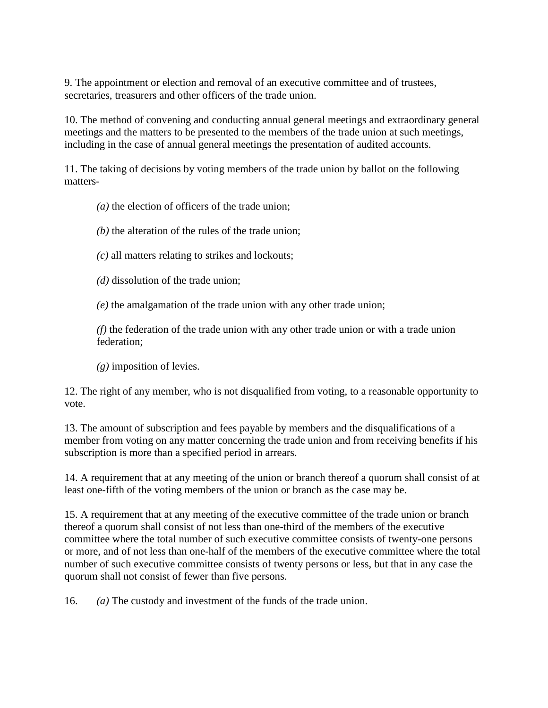9. The appointment or election and removal of an executive committee and of trustees, secretaries, treasurers and other officers of the trade union.

10. The method of convening and conducting annual general meetings and extraordinary general meetings and the matters to be presented to the members of the trade union at such meetings, including in the case of annual general meetings the presentation of audited accounts.

11. The taking of decisions by voting members of the trade union by ballot on the following matters-

*(a)* the election of officers of the trade union;

- *(b)* the alteration of the rules of the trade union;
- *(c)* all matters relating to strikes and lockouts;

*(d)* dissolution of the trade union;

*(e)* the amalgamation of the trade union with any other trade union;

*(f)* the federation of the trade union with any other trade union or with a trade union federation;

*(g)* imposition of levies.

12. The right of any member, who is not disqualified from voting, to a reasonable opportunity to vote.

13. The amount of subscription and fees payable by members and the disqualifications of a member from voting on any matter concerning the trade union and from receiving benefits if his subscription is more than a specified period in arrears.

14. A requirement that at any meeting of the union or branch thereof a quorum shall consist of at least one-fifth of the voting members of the union or branch as the case may be.

15. A requirement that at any meeting of the executive committee of the trade union or branch thereof a quorum shall consist of not less than one-third of the members of the executive committee where the total number of such executive committee consists of twenty-one persons or more, and of not less than one-half of the members of the executive committee where the total number of such executive committee consists of twenty persons or less, but that in any case the quorum shall not consist of fewer than five persons.

16. *(a)* The custody and investment of the funds of the trade union.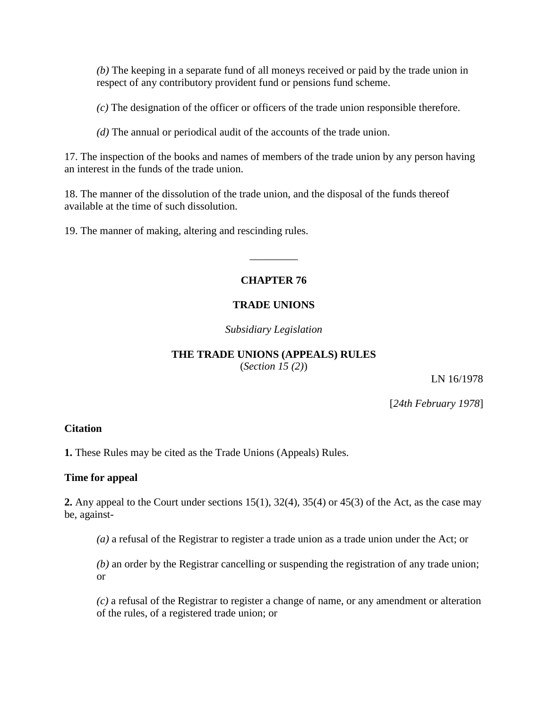*(b)* The keeping in a separate fund of all moneys received or paid by the trade union in respect of any contributory provident fund or pensions fund scheme.

*(c)* The designation of the officer or officers of the trade union responsible therefore.

*(d)* The annual or periodical audit of the accounts of the trade union.

17. The inspection of the books and names of members of the trade union by any person having an interest in the funds of the trade union.

18. The manner of the dissolution of the trade union, and the disposal of the funds thereof available at the time of such dissolution.

19. The manner of making, altering and rescinding rules.

# **CHAPTER 76**

\_\_\_\_\_\_\_\_\_

### **TRADE UNIONS**

*Subsidiary Legislation*

# **THE TRADE UNIONS (APPEALS) RULES**

(*Section 15 (2)*)

LN 16/1978

[*24th February 1978*]

#### **Citation**

**1.** These Rules may be cited as the Trade Unions (Appeals) Rules.

#### **Time for appeal**

**2.** Any appeal to the Court under sections 15(1), 32(4), 35(4) or 45(3) of the Act, as the case may be, against-

*(a)* a refusal of the Registrar to register a trade union as a trade union under the Act; or

*(b)* an order by the Registrar cancelling or suspending the registration of any trade union; or

*(c)* a refusal of the Registrar to register a change of name, or any amendment or alteration of the rules, of a registered trade union; or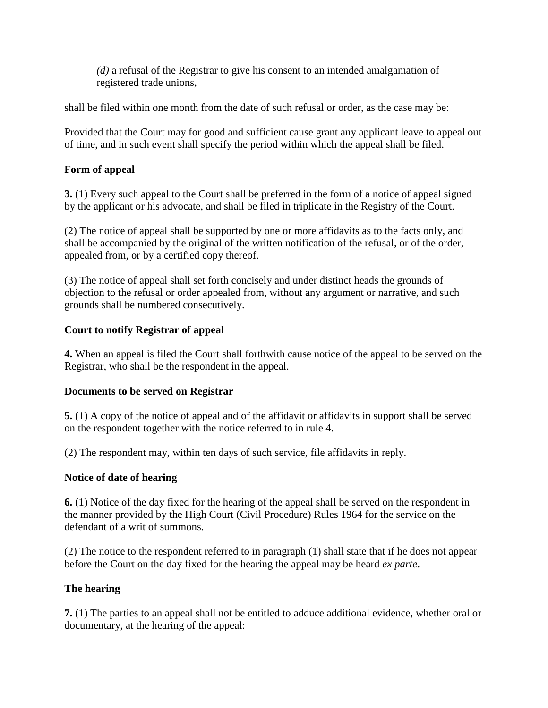*(d)* a refusal of the Registrar to give his consent to an intended amalgamation of registered trade unions,

shall be filed within one month from the date of such refusal or order, as the case may be:

Provided that the Court may for good and sufficient cause grant any applicant leave to appeal out of time, and in such event shall specify the period within which the appeal shall be filed.

# **Form of appeal**

**3.** (1) Every such appeal to the Court shall be preferred in the form of a notice of appeal signed by the applicant or his advocate, and shall be filed in triplicate in the Registry of the Court.

(2) The notice of appeal shall be supported by one or more affidavits as to the facts only, and shall be accompanied by the original of the written notification of the refusal, or of the order, appealed from, or by a certified copy thereof.

(3) The notice of appeal shall set forth concisely and under distinct heads the grounds of objection to the refusal or order appealed from, without any argument or narrative, and such grounds shall be numbered consecutively.

# **Court to notify Registrar of appeal**

**4.** When an appeal is filed the Court shall forthwith cause notice of the appeal to be served on the Registrar, who shall be the respondent in the appeal.

# **Documents to be served on Registrar**

**5.** (1) A copy of the notice of appeal and of the affidavit or affidavits in support shall be served on the respondent together with the notice referred to in rule 4.

(2) The respondent may, within ten days of such service, file affidavits in reply.

# **Notice of date of hearing**

**6.** (1) Notice of the day fixed for the hearing of the appeal shall be served on the respondent in the manner provided by the High Court (Civil Procedure) Rules 1964 for the service on the defendant of a writ of summons.

(2) The notice to the respondent referred to in paragraph (1) shall state that if he does not appear before the Court on the day fixed for the hearing the appeal may be heard *ex parte*.

# **The hearing**

**7.** (1) The parties to an appeal shall not be entitled to adduce additional evidence, whether oral or documentary, at the hearing of the appeal: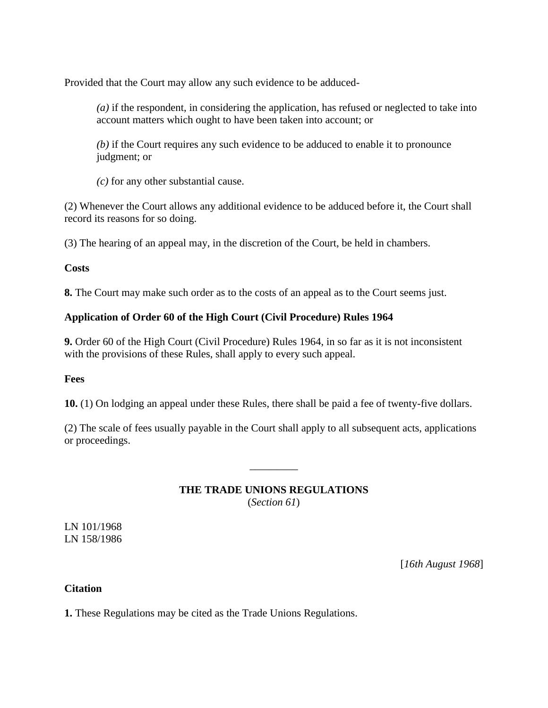Provided that the Court may allow any such evidence to be adduced-

*(a)* if the respondent, in considering the application, has refused or neglected to take into account matters which ought to have been taken into account; or

*(b)* if the Court requires any such evidence to be adduced to enable it to pronounce judgment; or

*(c)* for any other substantial cause.

(2) Whenever the Court allows any additional evidence to be adduced before it, the Court shall record its reasons for so doing.

(3) The hearing of an appeal may, in the discretion of the Court, be held in chambers.

### **Costs**

**8.** The Court may make such order as to the costs of an appeal as to the Court seems just.

# **Application of Order 60 of the High Court (Civil Procedure) Rules 1964**

**9.** Order 60 of the High Court (Civil Procedure) Rules 1964, in so far as it is not inconsistent with the provisions of these Rules, shall apply to every such appeal.

# **Fees**

**10.** (1) On lodging an appeal under these Rules, there shall be paid a fee of twenty-five dollars.

(2) The scale of fees usually payable in the Court shall apply to all subsequent acts, applications or proceedings.

# **THE TRADE UNIONS REGULATIONS** (*Section 61*)

\_\_\_\_\_\_\_\_\_

LN 101/1968 LN 158/1986

[*16th August 1968*]

# **Citation**

**1.** These Regulations may be cited as the Trade Unions Regulations.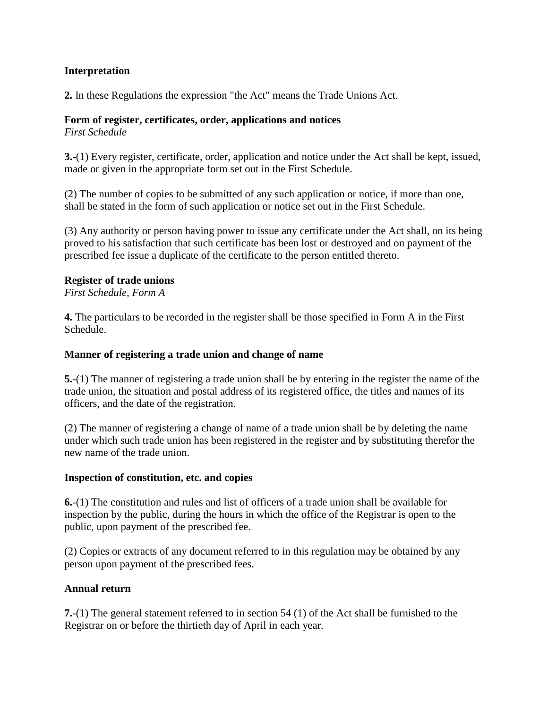# **Interpretation**

**2.** In these Regulations the expression "the Act" means the Trade Unions Act.

### **Form of register, certificates, order, applications and notices**

*First Schedule*

**3.**-(1) Every register, certificate, order, application and notice under the Act shall be kept, issued, made or given in the appropriate form set out in the First Schedule.

(2) The number of copies to be submitted of any such application or notice, if more than one, shall be stated in the form of such application or notice set out in the First Schedule.

(3) Any authority or person having power to issue any certificate under the Act shall, on its being proved to his satisfaction that such certificate has been lost or destroyed and on payment of the prescribed fee issue a duplicate of the certificate to the person entitled thereto.

### **Register of trade unions**

*First Schedule, Form A*

**4.** The particulars to be recorded in the register shall be those specified in Form A in the First Schedule.

### **Manner of registering a trade union and change of name**

**5.**-(1) The manner of registering a trade union shall be by entering in the register the name of the trade union, the situation and postal address of its registered office, the titles and names of its officers, and the date of the registration.

(2) The manner of registering a change of name of a trade union shall be by deleting the name under which such trade union has been registered in the register and by substituting therefor the new name of the trade union.

# **Inspection of constitution, etc. and copies**

**6.**-(1) The constitution and rules and list of officers of a trade union shall be available for inspection by the public, during the hours in which the office of the Registrar is open to the public, upon payment of the prescribed fee.

(2) Copies or extracts of any document referred to in this regulation may be obtained by any person upon payment of the prescribed fees.

# **Annual return**

**7.**-(1) The general statement referred to in section 54 (1) of the Act shall be furnished to the Registrar on or before the thirtieth day of April in each year.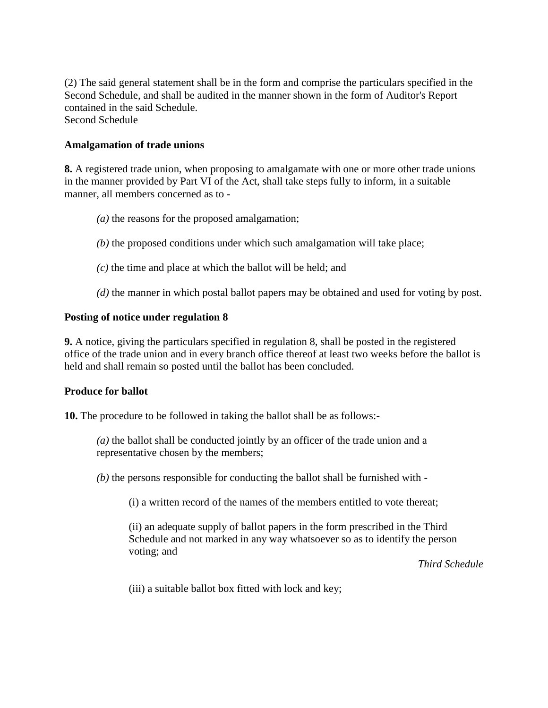(2) The said general statement shall be in the form and comprise the particulars specified in the Second Schedule, and shall be audited in the manner shown in the form of Auditor's Report contained in the said Schedule. Second Schedule

#### **Amalgamation of trade unions**

**8.** A registered trade union, when proposing to amalgamate with one or more other trade unions in the manner provided by Part VI of the Act, shall take steps fully to inform, in a suitable manner, all members concerned as to -

- *(a)* the reasons for the proposed amalgamation;
- *(b)* the proposed conditions under which such amalgamation will take place;
- *(c)* the time and place at which the ballot will be held; and
- *(d)* the manner in which postal ballot papers may be obtained and used for voting by post.

#### **Posting of notice under regulation 8**

**9.** A notice, giving the particulars specified in regulation 8, shall be posted in the registered office of the trade union and in every branch office thereof at least two weeks before the ballot is held and shall remain so posted until the ballot has been concluded.

#### **Produce for ballot**

**10.** The procedure to be followed in taking the ballot shall be as follows:-

*(a)* the ballot shall be conducted jointly by an officer of the trade union and a representative chosen by the members;

*(b)* the persons responsible for conducting the ballot shall be furnished with -

(i) a written record of the names of the members entitled to vote thereat;

(ii) an adequate supply of ballot papers in the form prescribed in the Third Schedule and not marked in any way whatsoever so as to identify the person voting; and

*Third Schedule*

(iii) a suitable ballot box fitted with lock and key;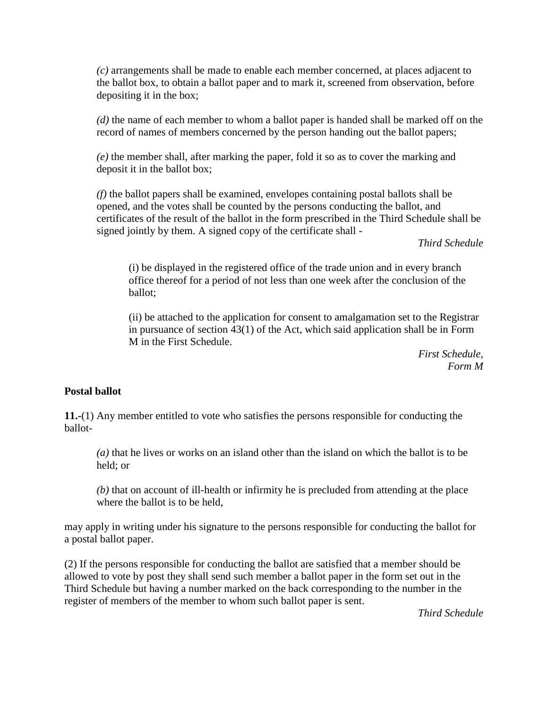*(c)* arrangements shall be made to enable each member concerned, at places adjacent to the ballot box, to obtain a ballot paper and to mark it, screened from observation, before depositing it in the box;

*(d)* the name of each member to whom a ballot paper is handed shall be marked off on the record of names of members concerned by the person handing out the ballot papers;

*(e)* the member shall, after marking the paper, fold it so as to cover the marking and deposit it in the ballot box;

*(f)* the ballot papers shall be examined, envelopes containing postal ballots shall be opened, and the votes shall be counted by the persons conducting the ballot, and certificates of the result of the ballot in the form prescribed in the Third Schedule shall be signed jointly by them. A signed copy of the certificate shall -

*Third Schedule*

(i) be displayed in the registered office of the trade union and in every branch office thereof for a period of not less than one week after the conclusion of the ballot;

(ii) be attached to the application for consent to amalgamation set to the Registrar in pursuance of section 43(1) of the Act, which said application shall be in Form M in the First Schedule.

> *First Schedule, Form M*

#### **Postal ballot**

**11.-**(1) Any member entitled to vote who satisfies the persons responsible for conducting the ballot-

*(a)* that he lives or works on an island other than the island on which the ballot is to be held; or

*(b)* that on account of ill-health or infirmity he is precluded from attending at the place where the ballot is to be held,

may apply in writing under his signature to the persons responsible for conducting the ballot for a postal ballot paper.

(2) If the persons responsible for conducting the ballot are satisfied that a member should be allowed to vote by post they shall send such member a ballot paper in the form set out in the Third Schedule but having a number marked on the back corresponding to the number in the register of members of the member to whom such ballot paper is sent.

*Third Schedule*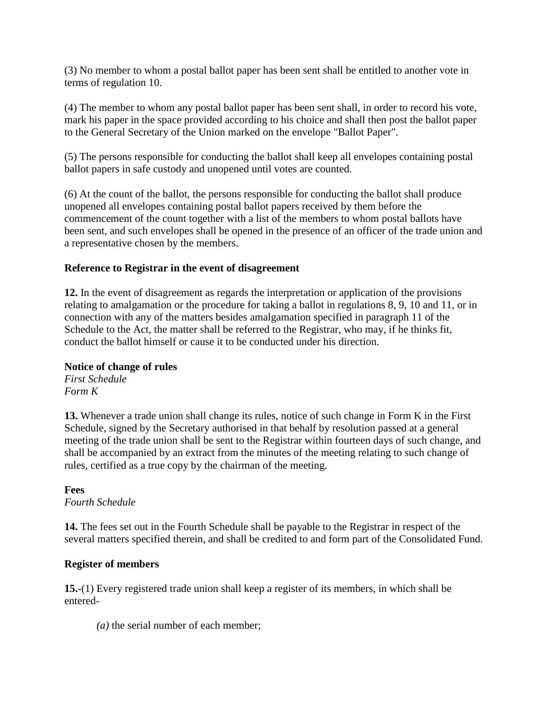(3) No member to whom a postal ballot paper has been sent shall be entitled to another vote in terms of regulation 10.

(4) The member to whom any postal ballot paper has been sent shall, in order to record his vote, mark his paper in the space provided according to his choice and shall then post the ballot paper to the General Secretary of the Union marked on the envelope "Ballot Paper".

(5) The persons responsible for conducting the ballot shall keep all envelopes containing postal ballot papers in safe custody and unopened until votes are counted.

(6) At the count of the ballot, the persons responsible for conducting the ballot shall produce unopened all envelopes containing postal ballot papers received by them before the commencement of the count together with a list of the members to whom postal ballots have been sent, and such envelopes shall be opened in the presence of an officer of the trade union and a representative chosen by the members.

# **Reference to Registrar in the event of disagreement**

**12.** In the event of disagreement as regards the interpretation or application of the provisions relating to amalgamation or the procedure for taking a ballot in regulations 8, 9, 10 and 11, or in connection with any of the matters besides amalgamation specified in paragraph 11 of the Schedule to the Act, the matter shall be referred to the Registrar, who may, if he thinks fit, conduct the ballot himself or cause it to be conducted under his direction.

# **Notice of change of rules**

*First Schedule Form K*

**13.** Whenever a trade union shall change its rules, notice of such change in Form K in the First Schedule, signed by the Secretary authorised in that behalf by resolution passed at a general meeting of the trade union shall be sent to the Registrar within fourteen days of such change, and shall be accompanied by an extract from the minutes of the meeting relating to such change of rules, certified as a true copy by the chairman of the meeting.

# **Fees**

*Fourth Schedule*

**14.** The fees set out in the Fourth Schedule shall be payable to the Registrar in respect of the several matters specified therein, and shall be credited to and form part of the Consolidated Fund.

# **Register of members**

**15.**-(1) Every registered trade union shall keep a register of its members, in which shall be entered-

*(a)* the serial number of each member;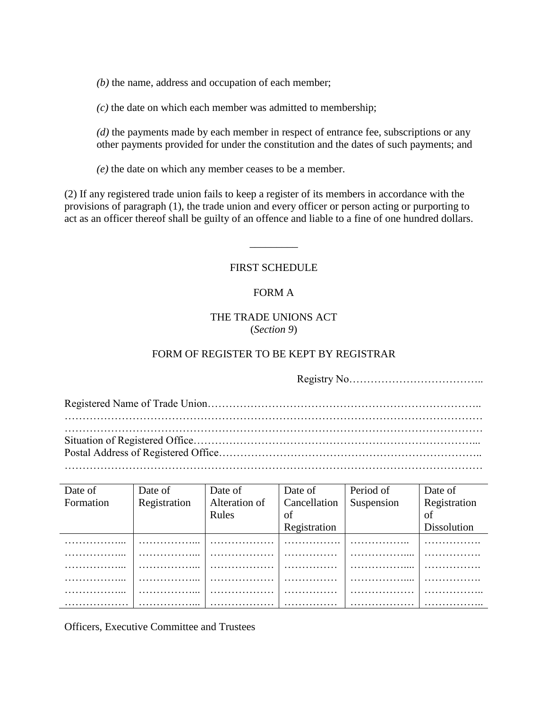*(b)* the name, address and occupation of each member;

*(c)* the date on which each member was admitted to membership;

*(d)* the payments made by each member in respect of entrance fee, subscriptions or any other payments provided for under the constitution and the dates of such payments; and

*(e)* the date on which any member ceases to be a member.

(2) If any registered trade union fails to keep a register of its members in accordance with the provisions of paragraph (1), the trade union and every officer or person acting or purporting to act as an officer thereof shall be guilty of an offence and liable to a fine of one hundred dollars.

#### FIRST SCHEDULE

\_\_\_\_\_\_\_\_\_

### FORM A

### THE TRADE UNIONS ACT (*Section 9*)

### FORM OF REGISTER TO BE KEPT BY REGISTRAR

Registry No……………………………….. Registered Name of Trade Union………………………………………………………………….. ……………………………………………………………………………………………………… ……………………………………………………………………………………………………… Situation of Registered Office……………………………………………………………………... Postal Address of Registered Office……………………………………………………………….. ………………………………………………………………………………………………………

| Date of   | Date of      | Date of       | Date of      | Period of  | Date of      |
|-----------|--------------|---------------|--------------|------------|--------------|
| Formation | Registration | Alteration of | Cancellation | Suspension | Registration |
|           |              | Rules         | of           |            | of           |
|           |              |               | Registration |            | Dissolution  |
|           |              |               |              |            |              |
|           |              |               |              |            |              |
|           |              |               |              |            |              |
|           |              |               |              |            |              |
|           |              |               |              |            |              |
|           |              |               |              |            |              |

Officers, Executive Committee and Trustees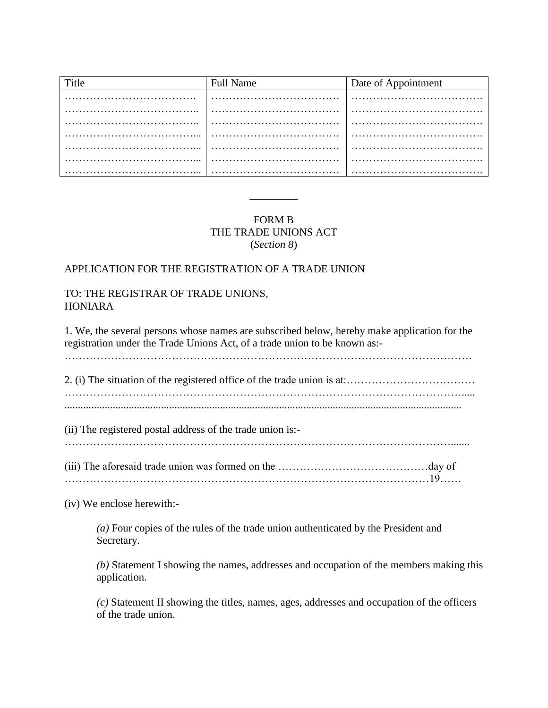| Title | <b>Full Name</b> | Date of Appointment |
|-------|------------------|---------------------|
|       |                  |                     |
|       |                  |                     |
|       |                  |                     |
|       |                  |                     |
|       |                  |                     |
|       |                  |                     |
|       | $\cdots$<br>.    | .                   |

# FORM B THE TRADE UNIONS ACT (*Section 8*)

\_\_\_\_\_\_\_\_\_

### APPLICATION FOR THE REGISTRATION OF A TRADE UNION

### TO: THE REGISTRAR OF TRADE UNIONS, HONIARA

1. We, the several persons whose names are subscribed below, hereby make application for the registration under the Trade Unions Act, of a trade union to be known as:- ……………………………………………………………………………………………………

2. (i) The situation of the registered office of the trade union is at:……………………………… …………………………………………………………………………………………………..... ....................................................................................................................................................

(ii) The registered postal address of the trade union is:-

………………………………………………………………………………………………....... (iii) The aforesaid trade union was formed on the ……………………………………day of

…………………………………………………………………………………………19……

(iv) We enclose herewith:-

*(a)* Four copies of the rules of the trade union authenticated by the President and Secretary.

*(b)* Statement I showing the names, addresses and occupation of the members making this application.

*(c)* Statement II showing the titles, names, ages, addresses and occupation of the officers of the trade union.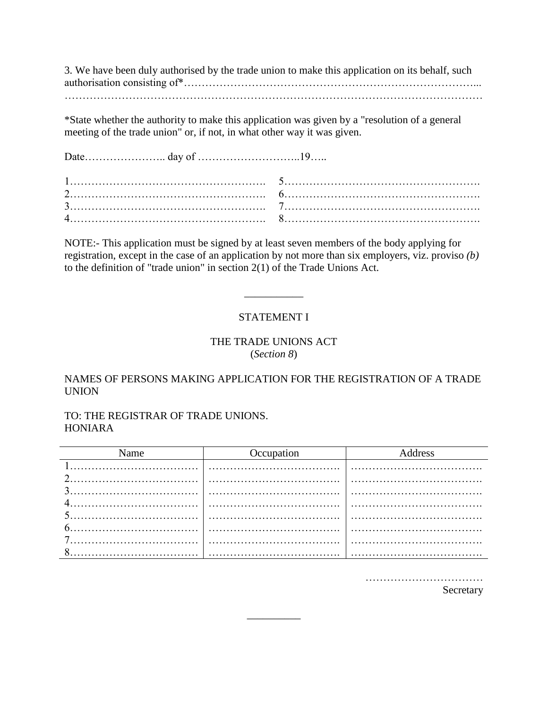3. We have been duly authorised by the trade union to make this application on its behalf, such authorisation consisting of\*………………………………………………………………………... ………………………………………………………………………………………………………

\*State whether the authority to make this application was given by a "resolution of a general meeting of the trade union" or, if not, in what other way it was given.

Date………………….. day of ………………………..19…..

NOTE:- This application must be signed by at least seven members of the body applying for registration, except in the case of an application by not more than six employers, viz. proviso *(b)* to the definition of "trade union" in section 2(1) of the Trade Unions Act.

### STATEMENT I

\_\_\_\_\_\_\_\_\_\_\_

### THE TRADE UNIONS ACT (*Section 8*)

### NAMES OF PERSONS MAKING APPLICATION FOR THE REGISTRATION OF A TRADE UNION

TO: THE REGISTRAR OF TRADE UNIONS. HONIARA

| Name | Occupation | Address |  |
|------|------------|---------|--|
|      |            |         |  |
|      |            |         |  |
|      |            |         |  |
|      |            |         |  |
|      |            |         |  |
|      |            |         |  |
|      |            |         |  |
|      |            |         |  |

\_\_\_\_\_\_\_\_\_\_

……………………………

Secretary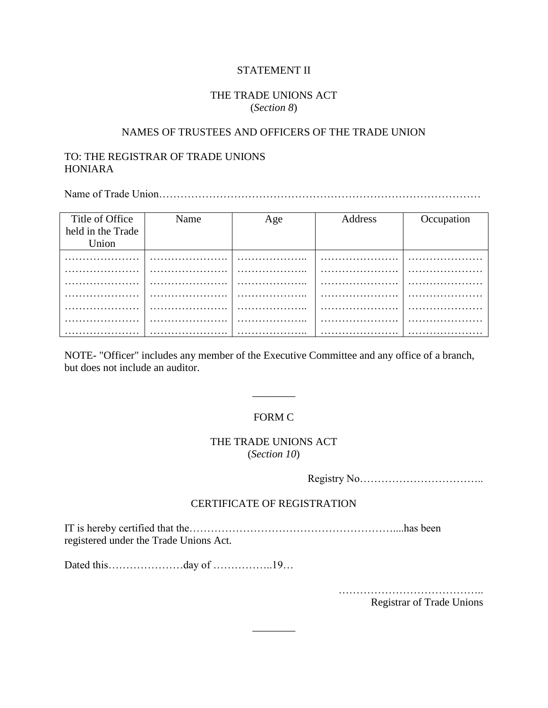#### STATEMENT II

### THE TRADE UNIONS ACT (*Section 8*)

#### NAMES OF TRUSTEES AND OFFICERS OF THE TRADE UNION

### TO: THE REGISTRAR OF TRADE UNIONS HONIARA

Name of Trade Union………………………………………………………………………………

| Title of Office   | Name | Age                       | Address | Occupation |
|-------------------|------|---------------------------|---------|------------|
| held in the Trade |      |                           |         |            |
| Union             |      |                           |         |            |
|                   | .    | .<br>$\ddot{\phantom{1}}$ | .       |            |
|                   |      |                           |         |            |
|                   |      |                           |         |            |
|                   |      | .                         |         |            |
|                   |      |                           |         |            |
|                   | .    | .<br>.                    |         |            |
|                   |      |                           |         |            |

NOTE- "Officer" includes any member of the Executive Committee and any office of a branch, but does not include an auditor.

### FORM C

\_\_\_\_\_\_\_\_

### THE TRADE UNIONS ACT (*Section 10*)

Registry No……………………………..

#### CERTIFICATE OF REGISTRATION

\_\_\_\_\_\_\_\_

IT is hereby certified that the…………………………………………………....has been registered under the Trade Unions Act.

Dated this…………………day of ……………..19…

………………………………….. Registrar of Trade Unions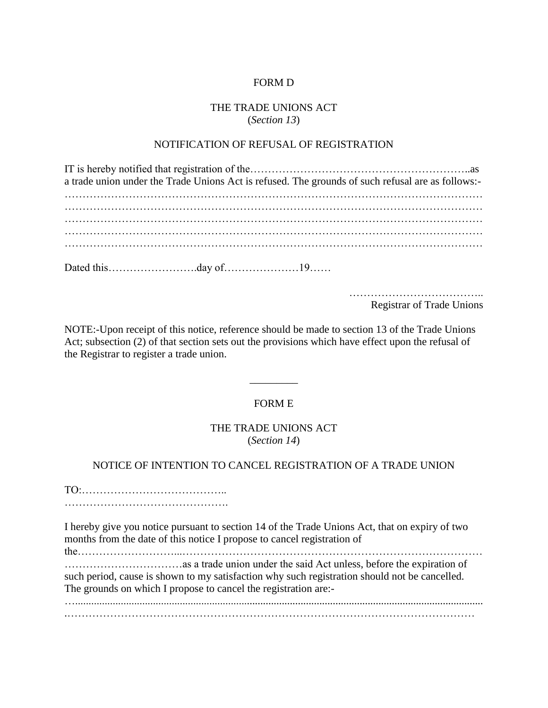### FORM D

# THE TRADE UNIONS ACT (*Section 13*)

### NOTIFICATION OF REFUSAL OF REGISTRATION

| a trade union under the Trade Unions Act is refused. The grounds of such refusal are as follows:- |  |
|---------------------------------------------------------------------------------------------------|--|
|                                                                                                   |  |
|                                                                                                   |  |
|                                                                                                   |  |
|                                                                                                   |  |
|                                                                                                   |  |
|                                                                                                   |  |
|                                                                                                   |  |

……………………………….. Registrar of Trade Unions

NOTE:-Upon receipt of this notice, reference should be made to section 13 of the Trade Unions Act; subsection (2) of that section sets out the provisions which have effect upon the refusal of the Registrar to register a trade union.

### FORM E

\_\_\_\_\_\_\_\_\_

#### THE TRADE UNIONS ACT (*Section 14*)

### NOTICE OF INTENTION TO CANCEL REGISTRATION OF A TRADE UNION

TO:………………………………….. ……………………………………….

I hereby give you notice pursuant to section 14 of the Trade Unions Act, that on expiry of two months from the date of this notice I propose to cancel registration of

the………………………...………………………………………………………………………… ……………………………as a trade union under the said Act unless, before the expiration of such period, cause is shown to my satisfaction why such registration should not be cancelled. The grounds on which I propose to cancel the registration are:-

…........................................................................................................................................................ .……………………………………………………………………………………………………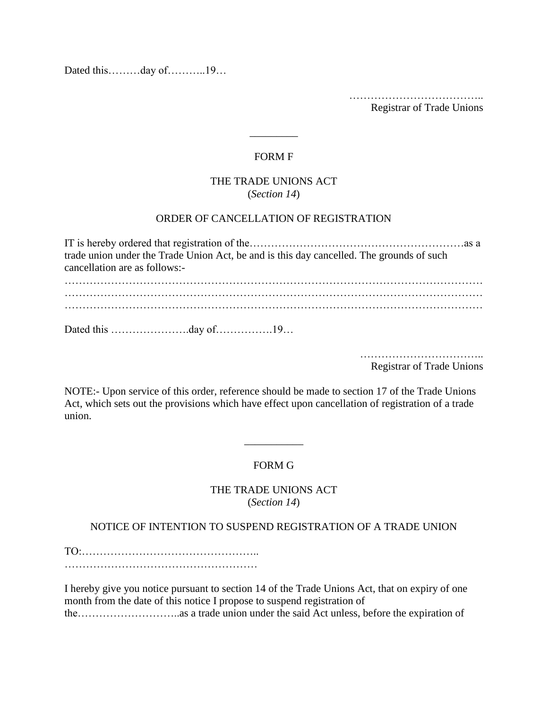Dated this………day of………..19…

……………………………….. Registrar of Trade Unions

# FORM F

\_\_\_\_\_\_\_\_\_

### THE TRADE UNIONS ACT (*Section 14*)

### ORDER OF CANCELLATION OF REGISTRATION

IT is hereby ordered that registration of the……………………………………………………as a trade union under the Trade Union Act, be and is this day cancelled. The grounds of such cancellation are as follows:- ……………………………………………………………………………………………………… ……………………………………………………………………………………………………… ……………………………………………………………………………………………………… Dated this ………………….day of…………….19…

> …………………………….. Registrar of Trade Unions

NOTE:- Upon service of this order, reference should be made to section 17 of the Trade Unions Act, which sets out the provisions which have effect upon cancellation of registration of a trade union.

# FORM G

\_\_\_\_\_\_\_\_\_\_\_

### THE TRADE UNIONS ACT (*Section 14*)

#### NOTICE OF INTENTION TO SUSPEND REGISTRATION OF A TRADE UNION

TO:………………………………………….. ………………………………………………

I hereby give you notice pursuant to section 14 of the Trade Unions Act, that on expiry of one month from the date of this notice I propose to suspend registration of the………………………..as a trade union under the said Act unless, before the expiration of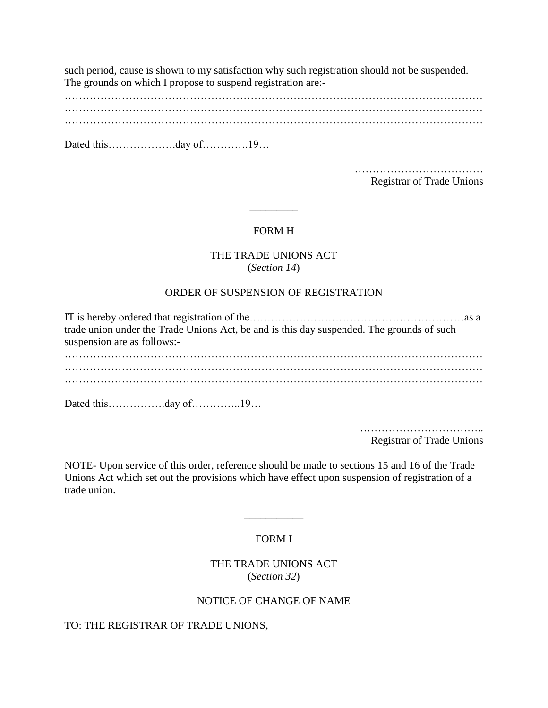such period, cause is shown to my satisfaction why such registration should not be suspended. The grounds on which I propose to suspend registration are:-

……………………………………………………………………………………………………… ……………………………………………………………………………………………………… ………………………………………………………………………………………………………

Dated this…………………day of……………19…

……………………………… Registrar of Trade Unions

### FORM H

\_\_\_\_\_\_\_\_\_

#### THE TRADE UNIONS ACT (*Section 14*)

#### ORDER OF SUSPENSION OF REGISTRATION

IT is hereby ordered that registration of the……………………………………………………as a trade union under the Trade Unions Act, be and is this day suspended. The grounds of such suspension are as follows:- ……………………………………………………………………………………………………… ……………………………………………………………………………………………………… ………………………………………………………………………………………………………

Dated this…………….day of…………..19…

…………………………… Registrar of Trade Unions

NOTE- Upon service of this order, reference should be made to sections 15 and 16 of the Trade Unions Act which set out the provisions which have effect upon suspension of registration of a trade union.

#### FORM I

\_\_\_\_\_\_\_\_\_\_\_

THE TRADE UNIONS ACT (*Section 32*)

### NOTICE OF CHANGE OF NAME

TO: THE REGISTRAR OF TRADE UNIONS,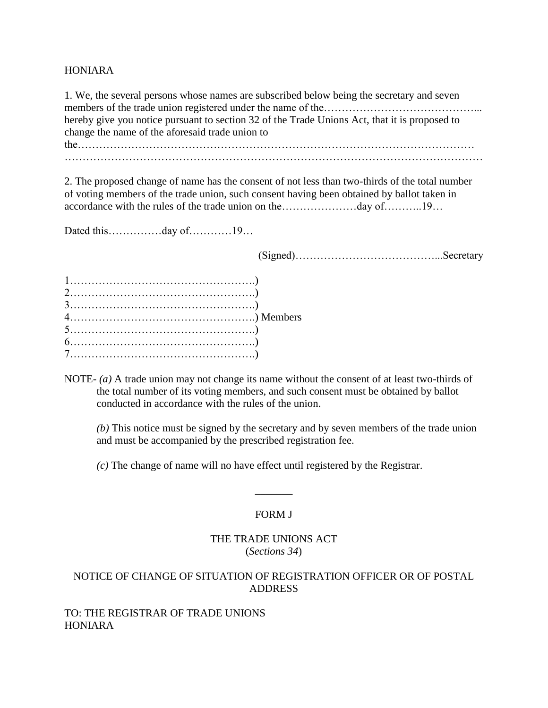#### HONIARA

1. We, the several persons whose names are subscribed below being the secretary and seven members of the trade union registered under the name of the……………………………………………………… hereby give you notice pursuant to section 32 of the Trade Unions Act, that it is proposed to change the name of the aforesaid trade union to the………………………………………………………………………………………………… ………………………………………………………………………………………………………

2. The proposed change of name has the consent of not less than two-thirds of the total number of voting members of the trade union, such consent having been obtained by ballot taken in accordance with the rules of the trade union on the…………………day of………..19…

Dated this……………day of…………19…

(Signed)…………………………………...Secretary

NOTE- *(a)* A trade union may not change its name without the consent of at least two-thirds of the total number of its voting members, and such consent must be obtained by ballot conducted in accordance with the rules of the union.

*(b)* This notice must be signed by the secretary and by seven members of the trade union and must be accompanied by the prescribed registration fee.

*(c)* The change of name will no have effect until registered by the Registrar.

# FORM J

 $\overline{\phantom{a}}$ 

### THE TRADE UNIONS ACT (*Sections 34*)

# NOTICE OF CHANGE OF SITUATION OF REGISTRATION OFFICER OR OF POSTAL ADDRESS

### TO: THE REGISTRAR OF TRADE UNIONS HONIARA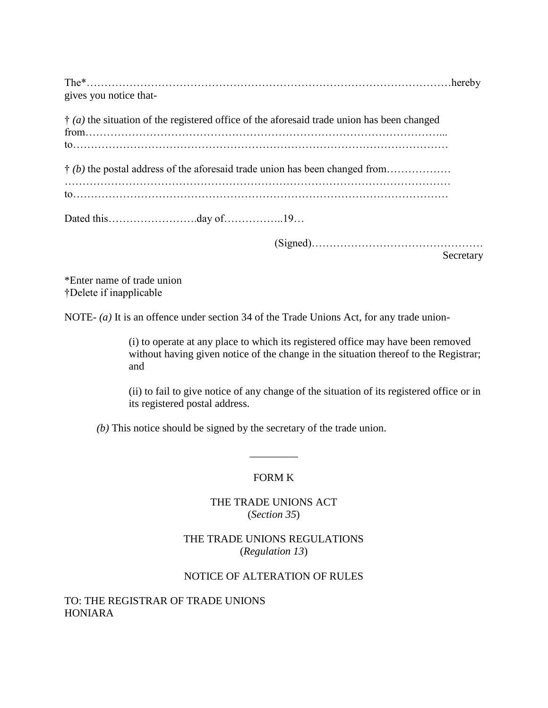| gives you notice that-                                                                                    |  |
|-----------------------------------------------------------------------------------------------------------|--|
| $\dot{\uparrow}$ (a) the situation of the registered office of the aforesaid trade union has been changed |  |
| $\dagger$ (b) the postal address of the aforesaid trade union has been changed from                       |  |
|                                                                                                           |  |
|                                                                                                           |  |

(Signed)…………………………………………

Secretary

\*Enter name of trade union †Delete if inapplicable

NOTE- *(a)* It is an offence under section 34 of the Trade Unions Act, for any trade union-

(i) to operate at any place to which its registered office may have been removed without having given notice of the change in the situation thereof to the Registrar; and

(ii) to fail to give notice of any change of the situation of its registered office or in its registered postal address.

*(b)* This notice should be signed by the secretary of the trade union.

# FORM K

\_\_\_\_\_\_\_\_\_

# THE TRADE UNIONS ACT (*Section 35*)

# THE TRADE UNIONS REGULATIONS (*Regulation 13*)

# NOTICE OF ALTERATION OF RULES

# TO: THE REGISTRAR OF TRADE UNIONS HONIARA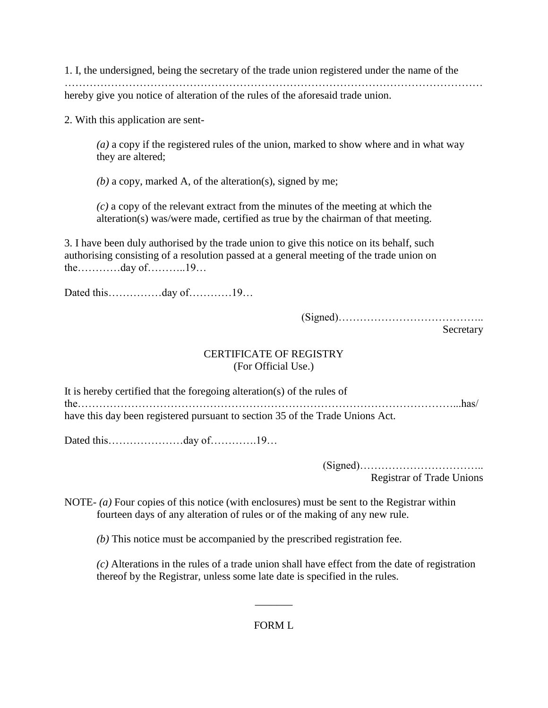1. I, the undersigned, being the secretary of the trade union registered under the name of the ……………………………………………………………………………………………………… hereby give you notice of alteration of the rules of the aforesaid trade union.

2. With this application are sent-

*(a)* a copy if the registered rules of the union, marked to show where and in what way they are altered;

*(b)* a copy, marked A, of the alteration(s), signed by me;

*(c)* a copy of the relevant extract from the minutes of the meeting at which the alteration(s) was/were made, certified as true by the chairman of that meeting.

3. I have been duly authorised by the trade union to give this notice on its behalf, such authorising consisting of a resolution passed at a general meeting of the trade union on the…………day of………..19…

Dated this……………day of…………19…

(Signed)…………………………………..

Secretary

### CERTIFICATE OF REGISTRY (For Official Use.)

It is hereby certified that the foregoing alteration(s) of the rules of the……………………………………………………………………………………………...has/ have this day been registered pursuant to section 35 of the Trade Unions Act.

Dated this…………………day of………….19…

(Signed)…………………………….. Registrar of Trade Unions

NOTE- *(a)* Four copies of this notice (with enclosures) must be sent to the Registrar within fourteen days of any alteration of rules or of the making of any new rule.

*(b)* This notice must be accompanied by the prescribed registration fee.

*(c)* Alterations in the rules of a trade union shall have effect from the date of registration thereof by the Registrar, unless some late date is specified in the rules.

FORM L

 $\overline{\phantom{a}}$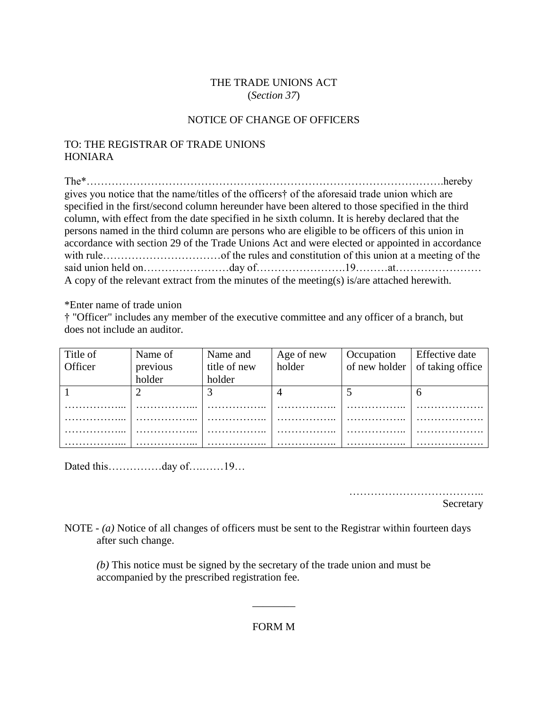### THE TRADE UNIONS ACT (*Section 37*)

### NOTICE OF CHANGE OF OFFICERS

# TO: THE REGISTRAR OF TRADE UNIONS HONIARA

The\*……………………………………………………………………………………….hereby gives you notice that the name/titles of the officers† of the aforesaid trade union which are specified in the first/second column hereunder have been altered to those specified in the third column, with effect from the date specified in he sixth column. It is hereby declared that the persons named in the third column are persons who are eligible to be officers of this union in accordance with section 29 of the Trade Unions Act and were elected or appointed in accordance with rule……………………………of the rules and constitution of this union at a meeting of the said union held on……………………day of…………………….19………at…………………… A copy of the relevant extract from the minutes of the meeting(s) is/are attached herewith.

\*Enter name of trade union

† "Officer" includes any member of the executive committee and any officer of a branch, but does not include an auditor.

| Title of | Name of  | Name and     | Age of new | Occupation | <b>Effective</b> date                  |
|----------|----------|--------------|------------|------------|----------------------------------------|
| Officer  | previous | title of new | holder     |            | of new holder $\vert$ of taking office |
|          | holder   | holder       |            |            |                                        |
|          |          |              |            |            | n                                      |
|          |          |              |            |            |                                        |
|          |          |              |            |            |                                        |
|          |          |              |            |            |                                        |
|          |          |              |            |            |                                        |

Dated this…………day of………19…

………………………………..

Secretary

NOTE - *(a)* Notice of all changes of officers must be sent to the Registrar within fourteen days after such change.

*(b)* This notice must be signed by the secretary of the trade union and must be accompanied by the prescribed registration fee.

FORM M

\_\_\_\_\_\_\_\_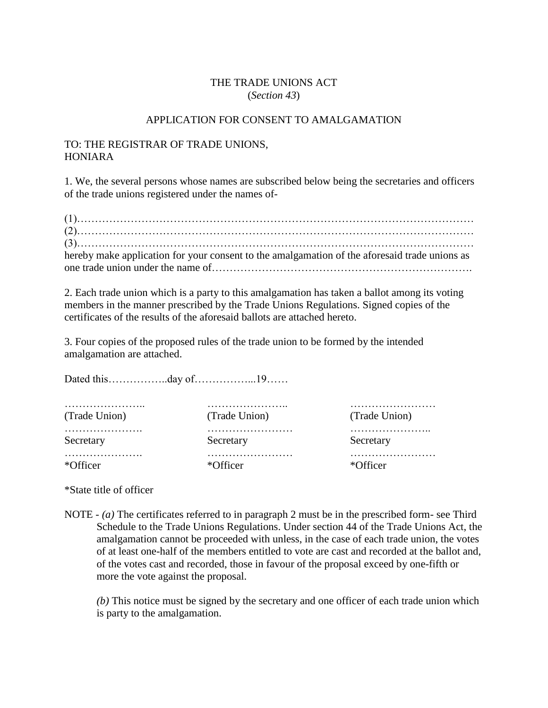### THE TRADE UNIONS ACT (*Section 43*)

### APPLICATION FOR CONSENT TO AMALGAMATION

### TO: THE REGISTRAR OF TRADE UNIONS, HONIARA

1. We, the several persons whose names are subscribed below being the secretaries and officers of the trade unions registered under the names of-

| hereby make application for your consent to the amalgamation of the aforesaid trade unions as |
|-----------------------------------------------------------------------------------------------|
|                                                                                               |

2. Each trade union which is a party to this amalgamation has taken a ballot among its voting members in the manner prescribed by the Trade Unions Regulations. Signed copies of the certificates of the results of the aforesaid ballots are attached hereto.

3. Four copies of the proposed rules of the trade union to be formed by the intended amalgamation are attached.

Dated this……………..day of……………...19……

| (Trade Union) | (Trade Union)  | (Trade Union) |
|---------------|----------------|---------------|
| Secretary     | .<br>Secretary | Secretary     |
| *Officer      | *Officer       | *Officer      |

\*State title of officer

NOTE - *(a)* The certificates referred to in paragraph 2 must be in the prescribed form- see Third Schedule to the Trade Unions Regulations. Under section 44 of the Trade Unions Act, the amalgamation cannot be proceeded with unless, in the case of each trade union, the votes of at least one-half of the members entitled to vote are cast and recorded at the ballot and, of the votes cast and recorded, those in favour of the proposal exceed by one-fifth or more the vote against the proposal.

*(b)* This notice must be signed by the secretary and one officer of each trade union which is party to the amalgamation.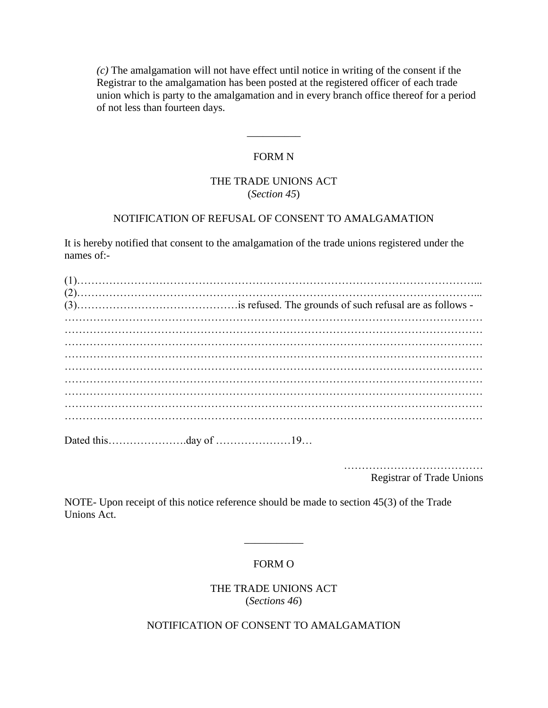*(c)* The amalgamation will not have effect until notice in writing of the consent if the Registrar to the amalgamation has been posted at the registered officer of each trade union which is party to the amalgamation and in every branch office thereof for a period of not less than fourteen days.

#### FORM N

\_\_\_\_\_\_\_\_\_\_

### THE TRADE UNIONS ACT (*Section 45*)

### NOTIFICATION OF REFUSAL OF CONSENT TO AMALGAMATION

It is hereby notified that consent to the amalgamation of the trade unions registered under the names of:-

…………………………………

Registrar of Trade Unions

NOTE- Upon receipt of this notice reference should be made to section 45(3) of the Trade Unions Act.

#### FORM O

\_\_\_\_\_\_\_\_\_\_\_

THE TRADE UNIONS ACT (*Sections 46*)

NOTIFICATION OF CONSENT TO AMALGAMATION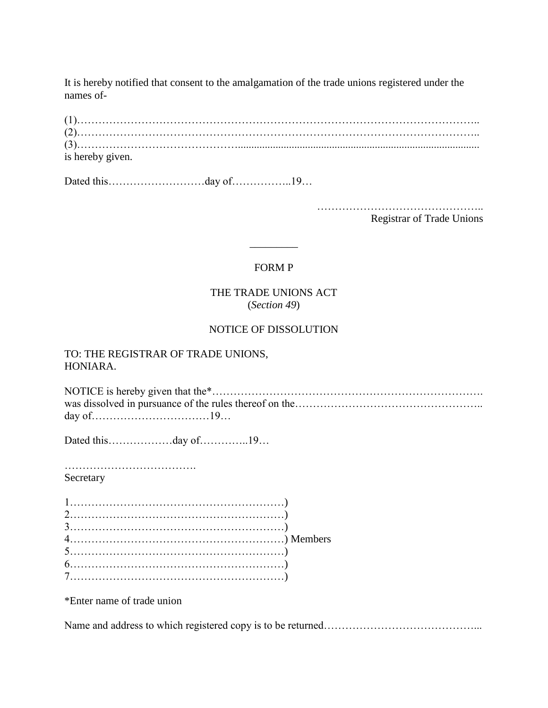It is hereby notified that consent to the amalgamation of the trade unions registered under the names of-

| is hereby given. |  |  |  |
|------------------|--|--|--|

Dated this………………………day of…………………19…

……………………………………….. Registrar of Trade Unions

# FORM P

\_\_\_\_\_\_\_\_\_

### THE TRADE UNIONS ACT (*Section 49*)

### NOTICE OF DISSOLUTION

#### TO: THE REGISTRAR OF TRADE UNIONS, HONIARA.

NOTICE is hereby given that the\*…………………………………………………………………. was dissolved in pursuance of the rules thereof on the…………………………………………………………………… day of……………………………19…

Dated this………………day of…………..19…

………………………………. Secretary

\*Enter name of trade union

Name and address to which registered copy is to be returned…………………………………………………………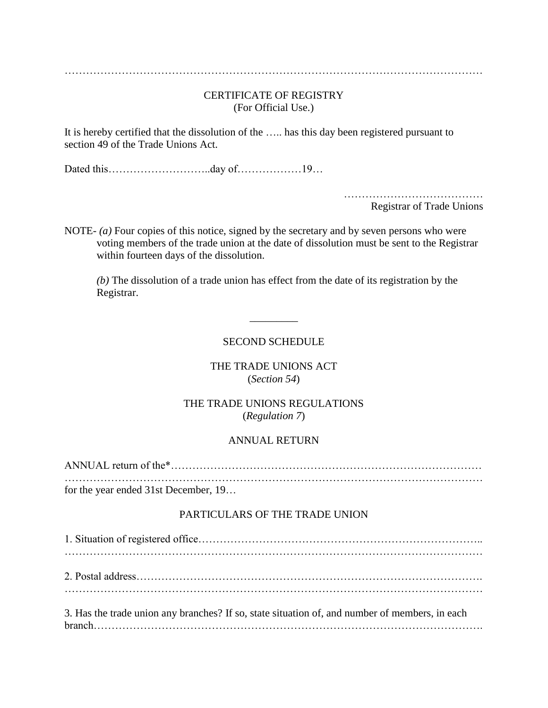# CERTIFICATE OF REGISTRY (For Official Use.)

It is hereby certified that the dissolution of the ….. has this day been registered pursuant to section 49 of the Trade Unions Act.

Dated this………………………..day of………………19…

………………………………… Registrar of Trade Unions

NOTE- *(a)* Four copies of this notice, signed by the secretary and by seven persons who were voting members of the trade union at the date of dissolution must be sent to the Registrar within fourteen days of the dissolution.

*(b)* The dissolution of a trade union has effect from the date of its registration by the Registrar.

# SECOND SCHEDULE

\_\_\_\_\_\_\_\_\_

# THE TRADE UNIONS ACT (*Section 54*)

### THE TRADE UNIONS REGULATIONS (*Regulation 7*)

#### ANNUAL RETURN

ANNUAL return of the\*…………………………………………………………………………… ……………………………………………………………………………………………………… for the year ended 31st December, 19…

#### PARTICULARS OF THE TRADE UNION

1. Situation of registered office…………………………………………………………………….. ……………………………………………………………………………………………………… 2. Postal address ……………………………………………………………………………………………………… 3. Has the trade union any branches? If so, state situation of, and number of members, in each branch……………………………………………………………………………………………….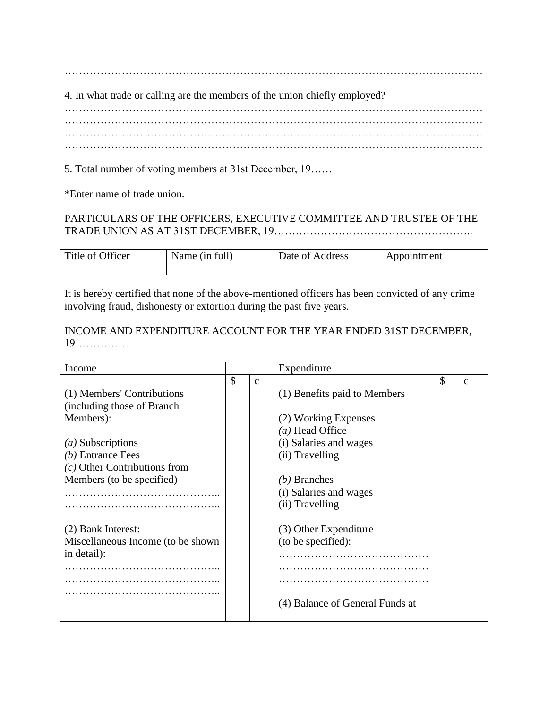4. In what trade or calling are the members of the union chiefly employed?

……………………………………………………………………………………………………… ……………………………………………………………………………………………………… ……………………………………………………………………………………………………… ………………………………………………………………………………………………………

5. Total number of voting members at 31st December, 19……

\*Enter name of trade union.

# PARTICULARS OF THE OFFICERS, EXECUTIVE COMMITTEE AND TRUSTEE OF THE TRADE UNION AS AT 31ST DECEMBER, 19………………………………………………..

| $\sim$ $\sim$<br>Title<br>rticer<br>ОT | 0.11<br>full<br>Name<br>1n | ∽<br>$\Delta$ Date of<br>ddress | ment |
|----------------------------------------|----------------------------|---------------------------------|------|
|                                        |                            |                                 |      |

It is hereby certified that none of the above-mentioned officers has been convicted of any crime involving fraud, dishonesty or extortion during the past five years.

INCOME AND EXPENDITURE ACCOUNT FOR THE YEAR ENDED 31ST DECEMBER, 19……………

| Income                            |                   | Expenditure                     |   |
|-----------------------------------|-------------------|---------------------------------|---|
|                                   | \$<br>$\mathbf c$ |                                 | с |
| (1) Members' Contributions        |                   | (1) Benefits paid to Members    |   |
| (including those of Branch)       |                   |                                 |   |
| Members):                         |                   | (2) Working Expenses            |   |
|                                   |                   | (a) Head Office                 |   |
| $(a)$ Subscriptions               |                   | (i) Salaries and wages          |   |
| $(b)$ Entrance Fees               |                   | (ii) Travelling                 |   |
| $(c)$ Other Contributions from    |                   |                                 |   |
| Members (to be specified)         |                   | $(b)$ Branches                  |   |
|                                   |                   | (i) Salaries and wages          |   |
|                                   |                   | (ii) Travelling                 |   |
|                                   |                   |                                 |   |
| (2) Bank Interest:                |                   | (3) Other Expenditure           |   |
| Miscellaneous Income (to be shown |                   | (to be specified):              |   |
| in detail):                       |                   |                                 |   |
|                                   |                   |                                 |   |
|                                   |                   |                                 |   |
|                                   |                   |                                 |   |
|                                   |                   | (4) Balance of General Funds at |   |
|                                   |                   |                                 |   |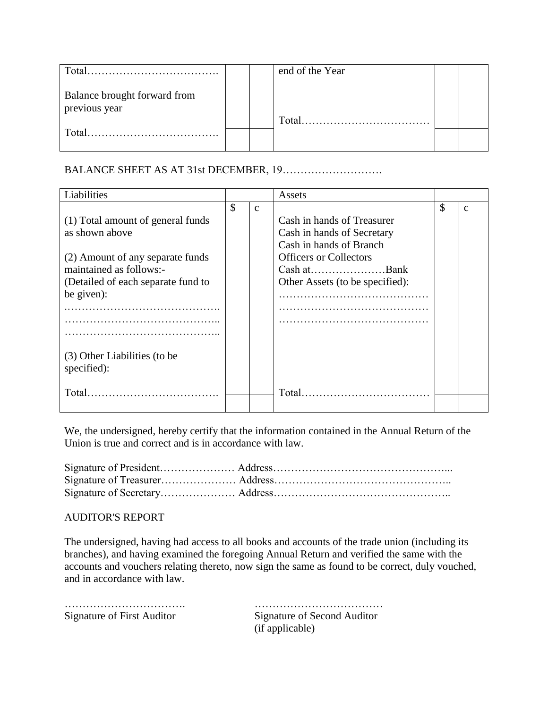| Total                                         |  | end of the Year |  |
|-----------------------------------------------|--|-----------------|--|
| Balance brought forward from<br>previous year |  | Total           |  |
| Total                                         |  |                 |  |

# BALANCE SHEET AS AT 31st DECEMBER, 19……………………….

| Liabilities                                 |                    | Assets                          |               |   |
|---------------------------------------------|--------------------|---------------------------------|---------------|---|
|                                             | \$<br>$\mathbf{C}$ |                                 | $\mathcal{S}$ | C |
| (1) Total amount of general funds           |                    | Cash in hands of Treasurer      |               |   |
| as shown above                              |                    | Cash in hands of Secretary      |               |   |
|                                             |                    | Cash in hands of Branch         |               |   |
| (2) Amount of any separate funds            |                    | <b>Officers or Collectors</b>   |               |   |
| maintained as follows:-                     |                    | Cash atBank                     |               |   |
| (Detailed of each separate fund to          |                    | Other Assets (to be specified): |               |   |
| be given):                                  |                    |                                 |               |   |
|                                             |                    |                                 |               |   |
|                                             |                    |                                 |               |   |
|                                             |                    |                                 |               |   |
| (3) Other Liabilities (to be<br>specified): |                    |                                 |               |   |
| Total.                                      |                    | Total.                          |               |   |
|                                             |                    |                                 |               |   |

We, the undersigned, hereby certify that the information contained in the Annual Return of the Union is true and correct and is in accordance with law.

#### AUDITOR'S REPORT

The undersigned, having had access to all books and accounts of the trade union (including its branches), and having examined the foregoing Annual Return and verified the same with the accounts and vouchers relating thereto, now sign the same as found to be correct, duly vouched, and in accordance with law.

| <b>Signature of First Auditor</b> |  |  |  |
|-----------------------------------|--|--|--|

……………………………… Signature of Second Auditor (if applicable)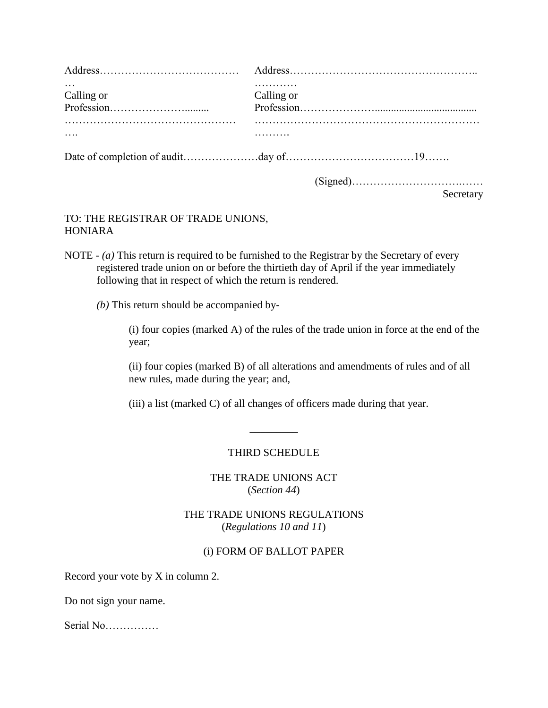| Calling or | Calling or |  |
|------------|------------|--|
|            |            |  |
|            |            |  |
|            |            |  |

### Secretary

# TO: THE REGISTRAR OF TRADE UNIONS, HONIARA

- NOTE *(a)* This return is required to be furnished to the Registrar by the Secretary of every registered trade union on or before the thirtieth day of April if the year immediately following that in respect of which the return is rendered.
	- *(b)* This return should be accompanied by-

(i) four copies (marked A) of the rules of the trade union in force at the end of the year;

(ii) four copies (marked B) of all alterations and amendments of rules and of all new rules, made during the year; and,

(iii) a list (marked C) of all changes of officers made during that year.

#### THIRD SCHEDULE

\_\_\_\_\_\_\_\_\_

THE TRADE UNIONS ACT (*Section 44*)

THE TRADE UNIONS REGULATIONS (*Regulations 10 and 11*)

### (i) FORM OF BALLOT PAPER

Record your vote by X in column 2.

Do not sign your name.

Serial No……………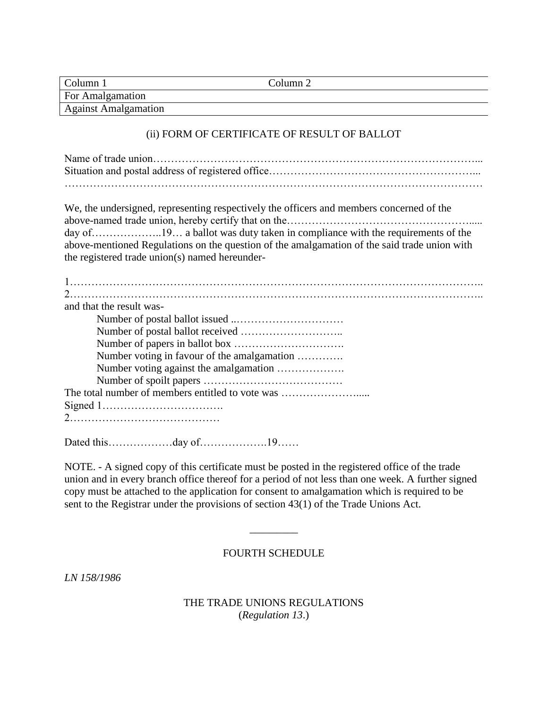| $Column_1$                  | Column 2 |
|-----------------------------|----------|
| For Amalgamation            |          |
| <b>Against Amalgamation</b> |          |

#### (ii) FORM OF CERTIFICATE OF RESULT OF BALLOT

Name of trade union………………………………………………………………………………... Situation and postal address of registered office…………………………………………………………………………………… ………………………………………………………………………………………………………

We, the undersigned, representing respectively the officers and members concerned of the above-named trade union, hereby certify that on the……………………………………………………………………………… day of………………..19… a ballot was duty taken in compliance with the requirements of the above-mentioned Regulations on the question of the amalgamation of the said trade union with the registered trade union(s) named hereunder-

| and that the result was-                         |
|--------------------------------------------------|
|                                                  |
|                                                  |
|                                                  |
| Number voting in favour of the amalgamation      |
|                                                  |
|                                                  |
| The total number of members entitled to vote was |
|                                                  |
|                                                  |
|                                                  |

Dated this………………day of……………….19……

NOTE. - A signed copy of this certificate must be posted in the registered office of the trade union and in every branch office thereof for a period of not less than one week. A further signed copy must be attached to the application for consent to amalgamation which is required to be sent to the Registrar under the provisions of section 43(1) of the Trade Unions Act.

#### FOURTH SCHEDULE

\_\_\_\_\_\_\_\_\_

*LN 158/1986*

THE TRADE UNIONS REGULATIONS (*Regulation 13*.)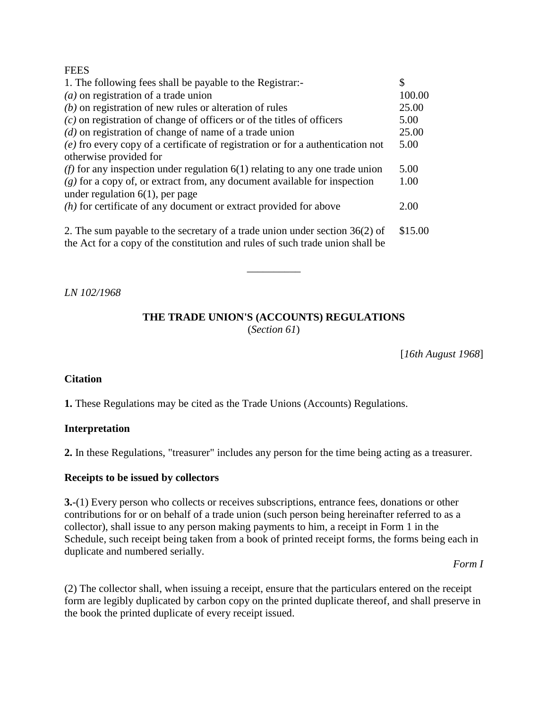#### **FEES**

| 1. The following fees shall be payable to the Registrar:-                                                                                                      | \$      |
|----------------------------------------------------------------------------------------------------------------------------------------------------------------|---------|
| $(a)$ on registration of a trade union                                                                                                                         | 100.00  |
| $(b)$ on registration of new rules or alteration of rules                                                                                                      | 25.00   |
| $(c)$ on registration of change of officers or of the titles of officers                                                                                       | 5.00    |
| $(d)$ on registration of change of name of a trade union                                                                                                       | 25.00   |
| (e) fro every copy of a certificate of registration or for a authentication not                                                                                | 5.00    |
| otherwise provided for                                                                                                                                         |         |
| ( <i>f</i> ) for any inspection under regulation $6(1)$ relating to any one trade union                                                                        | 5.00    |
| $(g)$ for a copy of, or extract from, any document available for inspection                                                                                    | 1.00    |
| under regulation $6(1)$ , per page                                                                                                                             |         |
| $(h)$ for certificate of any document or extract provided for above                                                                                            | 2.00    |
| 2. The sum payable to the secretary of a trade union under section $36(2)$ of<br>the Act for a copy of the constitution and rules of such trade union shall be | \$15.00 |

*LN 102/1968*

### **THE TRADE UNION'S (ACCOUNTS) REGULATIONS** (*Section 61*)

\_\_\_\_\_\_\_\_\_\_

[*16th August 1968*]

#### **Citation**

**1.** These Regulations may be cited as the Trade Unions (Accounts) Regulations.

#### **Interpretation**

**2.** In these Regulations, "treasurer" includes any person for the time being acting as a treasurer.

#### **Receipts to be issued by collectors**

**3.**-(1) Every person who collects or receives subscriptions, entrance fees, donations or other contributions for or on behalf of a trade union (such person being hereinafter referred to as a collector), shall issue to any person making payments to him, a receipt in Form 1 in the Schedule, such receipt being taken from a book of printed receipt forms, the forms being each in duplicate and numbered serially.

*Form I*

(2) The collector shall, when issuing a receipt, ensure that the particulars entered on the receipt form are legibly duplicated by carbon copy on the printed duplicate thereof, and shall preserve in the book the printed duplicate of every receipt issued.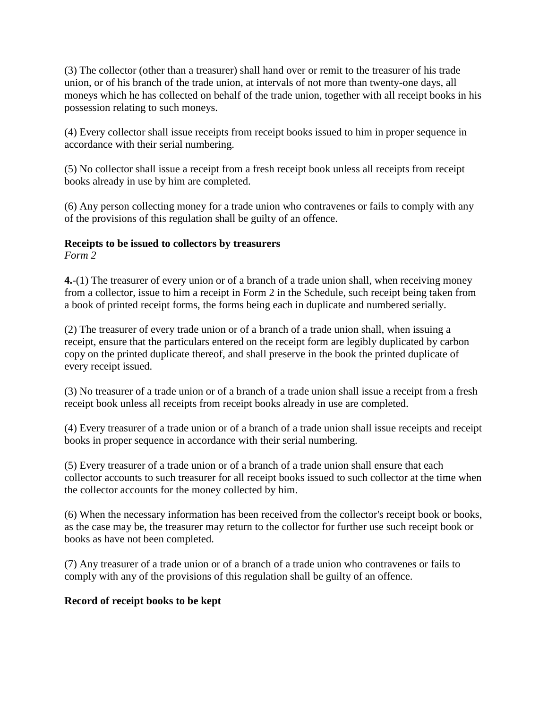(3) The collector (other than a treasurer) shall hand over or remit to the treasurer of his trade union, or of his branch of the trade union, at intervals of not more than twenty-one days, all moneys which he has collected on behalf of the trade union, together with all receipt books in his possession relating to such moneys.

(4) Every collector shall issue receipts from receipt books issued to him in proper sequence in accordance with their serial numbering.

(5) No collector shall issue a receipt from a fresh receipt book unless all receipts from receipt books already in use by him are completed.

(6) Any person collecting money for a trade union who contravenes or fails to comply with any of the provisions of this regulation shall be guilty of an offence.

# **Receipts to be issued to collectors by treasurers**

*Form 2*

**4.**-(1) The treasurer of every union or of a branch of a trade union shall, when receiving money from a collector, issue to him a receipt in Form 2 in the Schedule, such receipt being taken from a book of printed receipt forms, the forms being each in duplicate and numbered serially.

(2) The treasurer of every trade union or of a branch of a trade union shall, when issuing a receipt, ensure that the particulars entered on the receipt form are legibly duplicated by carbon copy on the printed duplicate thereof, and shall preserve in the book the printed duplicate of every receipt issued.

(3) No treasurer of a trade union or of a branch of a trade union shall issue a receipt from a fresh receipt book unless all receipts from receipt books already in use are completed.

(4) Every treasurer of a trade union or of a branch of a trade union shall issue receipts and receipt books in proper sequence in accordance with their serial numbering.

(5) Every treasurer of a trade union or of a branch of a trade union shall ensure that each collector accounts to such treasurer for all receipt books issued to such collector at the time when the collector accounts for the money collected by him.

(6) When the necessary information has been received from the collector's receipt book or books, as the case may be, the treasurer may return to the collector for further use such receipt book or books as have not been completed.

(7) Any treasurer of a trade union or of a branch of a trade union who contravenes or fails to comply with any of the provisions of this regulation shall be guilty of an offence.

# **Record of receipt books to be kept**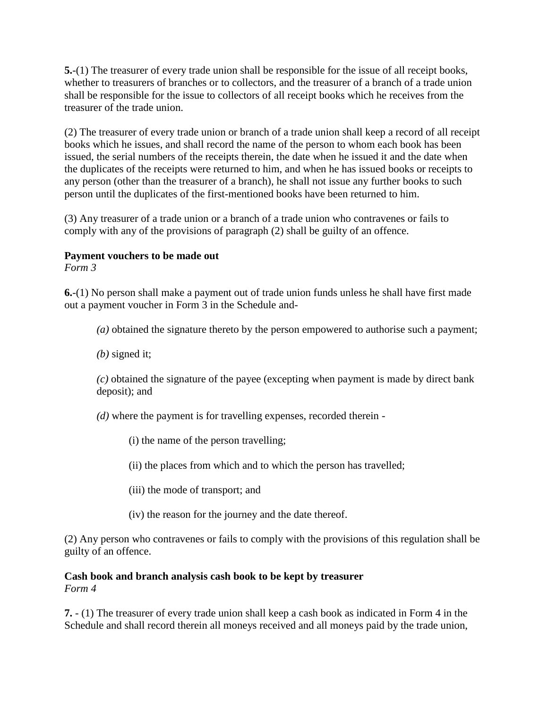**5.**-(1) The treasurer of every trade union shall be responsible for the issue of all receipt books, whether to treasurers of branches or to collectors, and the treasurer of a branch of a trade union shall be responsible for the issue to collectors of all receipt books which he receives from the treasurer of the trade union.

(2) The treasurer of every trade union or branch of a trade union shall keep a record of all receipt books which he issues, and shall record the name of the person to whom each book has been issued, the serial numbers of the receipts therein, the date when he issued it and the date when the duplicates of the receipts were returned to him, and when he has issued books or receipts to any person (other than the treasurer of a branch), he shall not issue any further books to such person until the duplicates of the first-mentioned books have been returned to him.

(3) Any treasurer of a trade union or a branch of a trade union who contravenes or fails to comply with any of the provisions of paragraph (2) shall be guilty of an offence.

### **Payment vouchers to be made out**

*Form 3*

**6.**-(1) No person shall make a payment out of trade union funds unless he shall have first made out a payment voucher in Form 3 in the Schedule and-

*(a)* obtained the signature thereto by the person empowered to authorise such a payment;

*(b)* signed it;

*(c)* obtained the signature of the payee (excepting when payment is made by direct bank deposit); and

*(d)* where the payment is for travelling expenses, recorded therein -

- (i) the name of the person travelling;
- (ii) the places from which and to which the person has travelled;
- (iii) the mode of transport; and
- (iv) the reason for the journey and the date thereof.

(2) Any person who contravenes or fails to comply with the provisions of this regulation shall be guilty of an offence.

#### **Cash book and branch analysis cash book to be kept by treasurer** *Form 4*

**7.** - (1) The treasurer of every trade union shall keep a cash book as indicated in Form 4 in the Schedule and shall record therein all moneys received and all moneys paid by the trade union,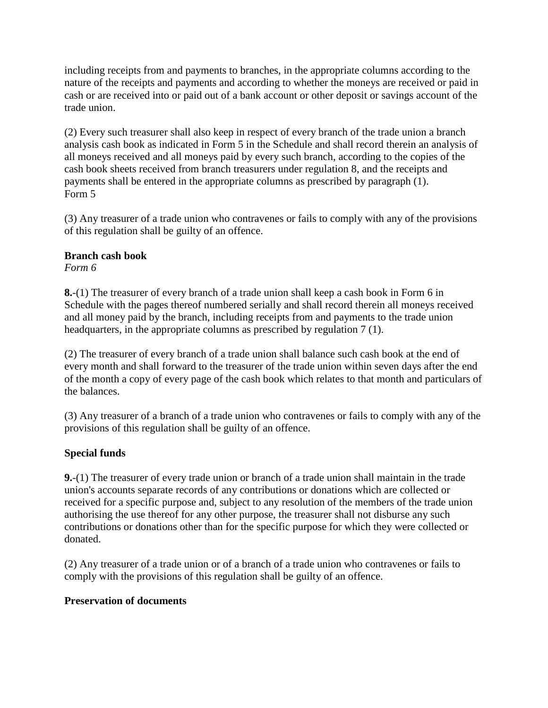including receipts from and payments to branches, in the appropriate columns according to the nature of the receipts and payments and according to whether the moneys are received or paid in cash or are received into or paid out of a bank account or other deposit or savings account of the trade union.

(2) Every such treasurer shall also keep in respect of every branch of the trade union a branch analysis cash book as indicated in Form 5 in the Schedule and shall record therein an analysis of all moneys received and all moneys paid by every such branch, according to the copies of the cash book sheets received from branch treasurers under regulation 8, and the receipts and payments shall be entered in the appropriate columns as prescribed by paragraph (1). Form 5

(3) Any treasurer of a trade union who contravenes or fails to comply with any of the provisions of this regulation shall be guilty of an offence.

# **Branch cash book**

*Form 6*

**8.**-(1) The treasurer of every branch of a trade union shall keep a cash book in Form 6 in Schedule with the pages thereof numbered serially and shall record therein all moneys received and all money paid by the branch, including receipts from and payments to the trade union headquarters, in the appropriate columns as prescribed by regulation 7 (1).

(2) The treasurer of every branch of a trade union shall balance such cash book at the end of every month and shall forward to the treasurer of the trade union within seven days after the end of the month a copy of every page of the cash book which relates to that month and particulars of the balances.

(3) Any treasurer of a branch of a trade union who contravenes or fails to comply with any of the provisions of this regulation shall be guilty of an offence.

# **Special funds**

**9.**-(1) The treasurer of every trade union or branch of a trade union shall maintain in the trade union's accounts separate records of any contributions or donations which are collected or received for a specific purpose and, subject to any resolution of the members of the trade union authorising the use thereof for any other purpose, the treasurer shall not disburse any such contributions or donations other than for the specific purpose for which they were collected or donated.

(2) Any treasurer of a trade union or of a branch of a trade union who contravenes or fails to comply with the provisions of this regulation shall be guilty of an offence.

# **Preservation of documents**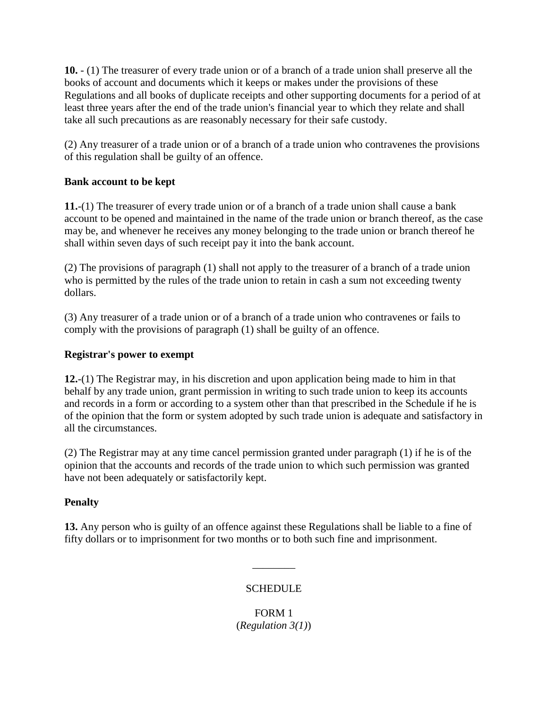**10.** - (1) The treasurer of every trade union or of a branch of a trade union shall preserve all the books of account and documents which it keeps or makes under the provisions of these Regulations and all books of duplicate receipts and other supporting documents for a period of at least three years after the end of the trade union's financial year to which they relate and shall take all such precautions as are reasonably necessary for their safe custody.

(2) Any treasurer of a trade union or of a branch of a trade union who contravenes the provisions of this regulation shall be guilty of an offence.

# **Bank account to be kept**

**11.**-(1) The treasurer of every trade union or of a branch of a trade union shall cause a bank account to be opened and maintained in the name of the trade union or branch thereof, as the case may be, and whenever he receives any money belonging to the trade union or branch thereof he shall within seven days of such receipt pay it into the bank account.

(2) The provisions of paragraph (1) shall not apply to the treasurer of a branch of a trade union who is permitted by the rules of the trade union to retain in cash a sum not exceeding twenty dollars.

(3) Any treasurer of a trade union or of a branch of a trade union who contravenes or fails to comply with the provisions of paragraph (1) shall be guilty of an offence.

# **Registrar's power to exempt**

**12.**-(1) The Registrar may, in his discretion and upon application being made to him in that behalf by any trade union, grant permission in writing to such trade union to keep its accounts and records in a form or according to a system other than that prescribed in the Schedule if he is of the opinion that the form or system adopted by such trade union is adequate and satisfactory in all the circumstances.

(2) The Registrar may at any time cancel permission granted under paragraph (1) if he is of the opinion that the accounts and records of the trade union to which such permission was granted have not been adequately or satisfactorily kept.

# **Penalty**

**13.** Any person who is guilty of an offence against these Regulations shall be liable to a fine of fifty dollars or to imprisonment for two months or to both such fine and imprisonment.

# **SCHEDULE**

\_\_\_\_\_\_\_\_

FORM 1 (*Regulation 3(1)*)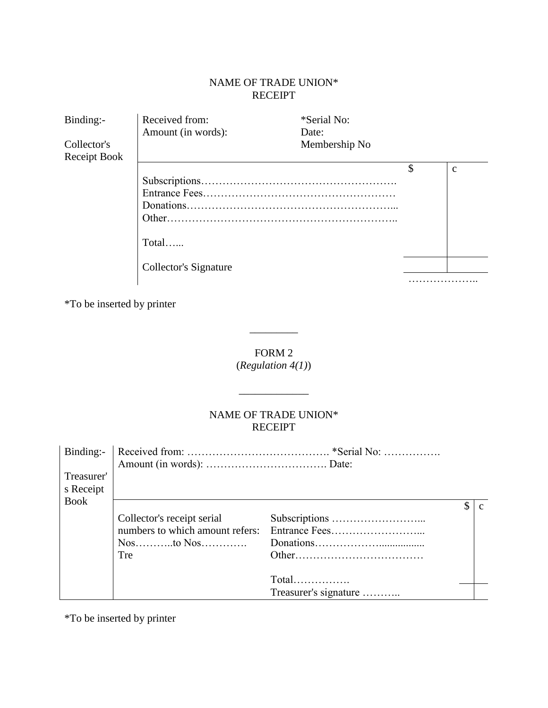# NAME OF TRADE UNION\* RECEIPT

| Binding:-                   | Received from:        | *Serial No:            |              |
|-----------------------------|-----------------------|------------------------|--------------|
| Collector's<br>Receipt Book | Amount (in words):    | Date:<br>Membership No |              |
|                             |                       |                        | $\mathbf{c}$ |
|                             | $Total$               |                        |              |
|                             | Collector's Signature |                        |              |
|                             |                       |                        |              |

\*To be inserted by printer

# FORM 2 (*Regulation 4(1)*)

 $\overline{\phantom{a}}$   $\overline{\phantom{a}}$ 

 $\frac{1}{\sqrt{2}}$  ,  $\frac{1}{\sqrt{2}}$  ,  $\frac{1}{\sqrt{2}}$  ,  $\frac{1}{\sqrt{2}}$  ,  $\frac{1}{\sqrt{2}}$  ,  $\frac{1}{\sqrt{2}}$ 

# NAME OF TRADE UNION\* RECEIPT

| Binding:-   |                                 |                       |  |
|-------------|---------------------------------|-----------------------|--|
| Treasurer'  |                                 |                       |  |
| s Receipt   |                                 |                       |  |
| <b>Book</b> |                                 |                       |  |
|             | Collector's receipt serial      |                       |  |
|             | numbers to which amount refers: |                       |  |
|             |                                 |                       |  |
|             | Tre                             |                       |  |
|             |                                 |                       |  |
|             |                                 | $Total$               |  |
|             |                                 | Treasurer's signature |  |

\*To be inserted by printer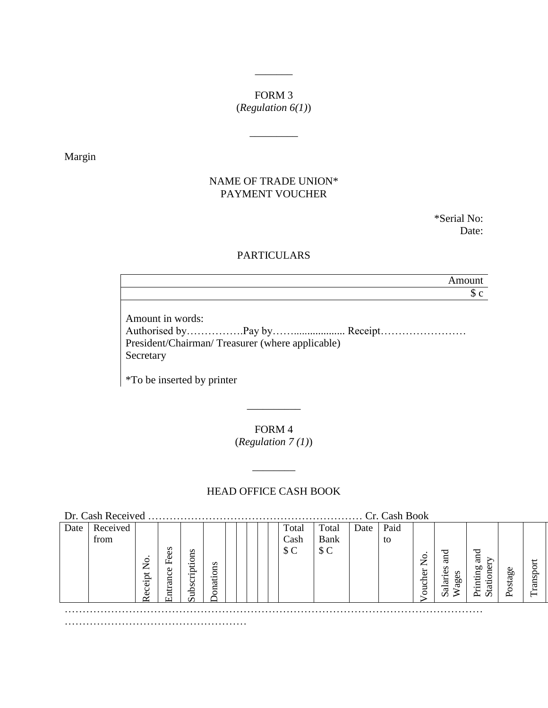# FORM 3

 $\overline{\phantom{a}}$ 

(*Regulation 6(1)*)

\_\_\_\_\_\_\_\_\_

Margin

# NAME OF TRADE UNION\* PAYMENT VOUCHER

\*Serial No: Date:

# PARTICULARS

Amount  $\sqrt{c}$ 

Amount in words:

Authorised by…………….Pay by……................... Receipt…………………… President/Chairman/ Treasurer (where applicable) Secretary

\*To be inserted by printer

FORM 4 (*Regulation 7 (1)*)

\_\_\_\_\_\_\_\_\_\_

# HEAD OFFICE CASH BOOK

\_\_\_\_\_\_\_\_

| Dr. Cash Received |          |               |          |               | Cr. Cash Book |  |  |       |             |      |      |                |                  |                              |        |             |
|-------------------|----------|---------------|----------|---------------|---------------|--|--|-------|-------------|------|------|----------------|------------------|------------------------------|--------|-------------|
| Date              | Received |               |          |               |               |  |  | Total | Total       | Date | Paid |                |                  |                              |        |             |
|                   | from     |               |          |               |               |  |  | Cash  | <b>Bank</b> |      | to   |                |                  |                              |        |             |
|                   |          |               | s<br>تە  |               |               |  |  | \$C   | \$C         |      |      |                | 51               | J                            |        |             |
|                   |          | $\frac{1}{2}$ | 丘        | Subscriptions |               |  |  |       |             |      |      | $\overline{S}$ | S                | ā                            |        |             |
|                   |          | $e$ ipt       | ω<br>anc |               | $\frac{1}{2}$ |  |  |       |             |      |      |                | Salaries<br>ages | onei<br>inting               | æ<br>₫ | $s_{\rm p}$ |
|                   |          | ပ္ပ           |          |               | ॱसं<br>π      |  |  |       |             |      |      | oucher         |                  | Ē                            |        | an          |
|                   |          |               | נד)      |               |               |  |  |       |             |      |      |                | ⋧                | 占<br>$\ddot{\tilde{\sigma}}$ |        |             |
|                   |          |               |          |               |               |  |  |       |             |      |      |                | .                |                              |        |             |
|                   |          |               |          |               |               |  |  |       |             |      |      |                |                  |                              |        |             |